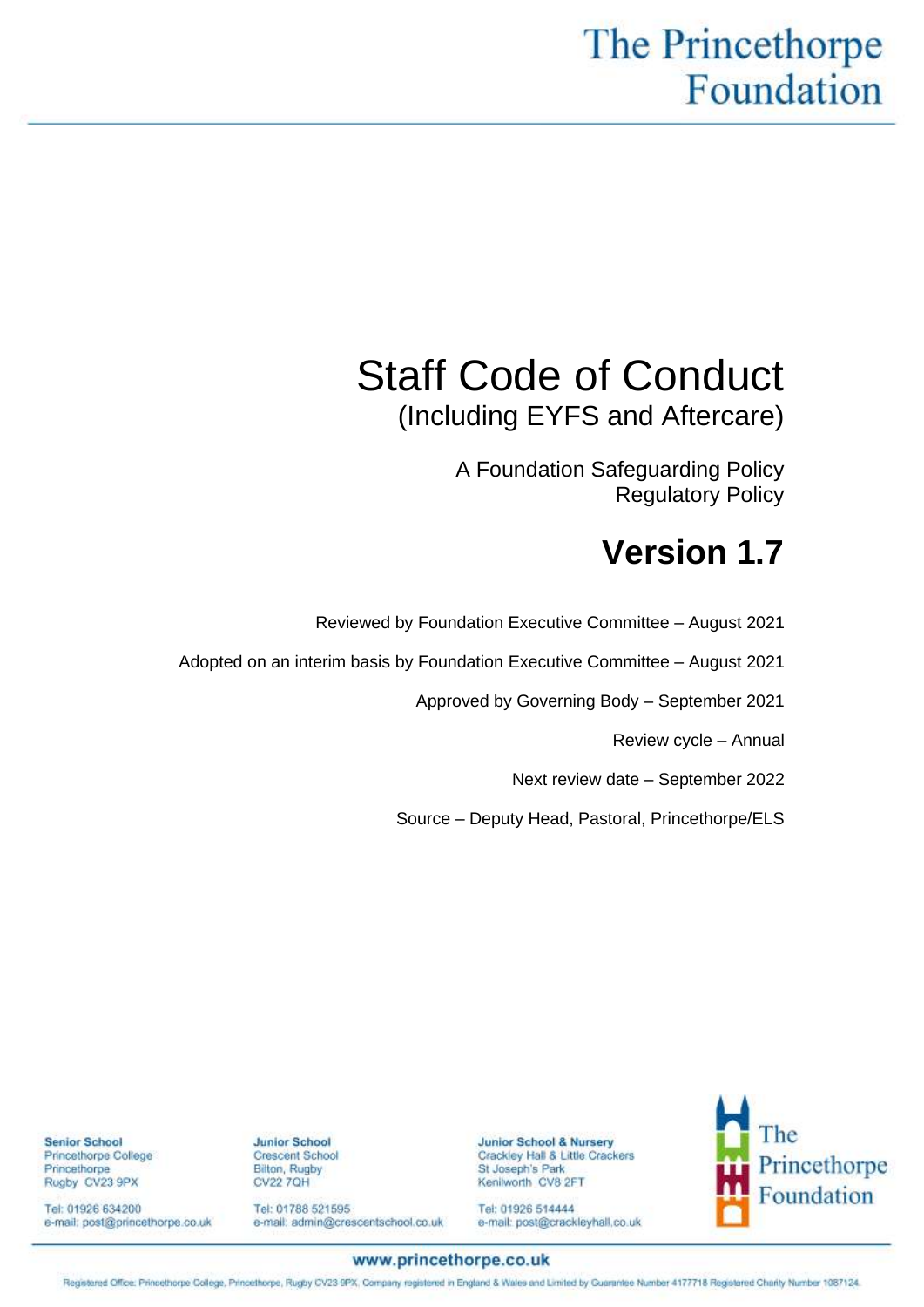# The Princethorpe Foundation

# Staff Code of Conduct (Including EYFS and Aftercare)

A Foundation Safeguarding Policy Regulatory Policy

# **Version 1.7**

Reviewed by Foundation Executive Committee – August 2021

**Junior School & Nursery** 

St Joseph's Park

Kenilworth CV8 2FT

Tel: 01926 514444

Crackley Hall & Little Crackers

e-mail: post@crackleyhall.co.uk

Adopted on an interim basis by Foundation Executive Committee – August 2021

Approved by Governing Body – September 2021

Review cycle – Annual

Next review date – September 2022

Source – Deputy Head, Pastoral, Princethorpe/ELS

The Princethorpe Foundation

**Junior School Crescent School** Bilton, Rugby<br>CV22 7QH

Tel: 01788 521595 e-mail: admin@crescentschool.co.uk

**Senior School** Princethorpe College Princethorpe Rugby CV23 9PX

Tel: 01926 634200 e-mail: post@princethorpe.co.uk

www.princethorpe.co.uk

Registered Office: Princethorpe College, Princethorpe, Rugby CV23 SPX, Company registered in England & Wales and Limited by Guarantee Number 4177718 Registered Charity Number 1087124.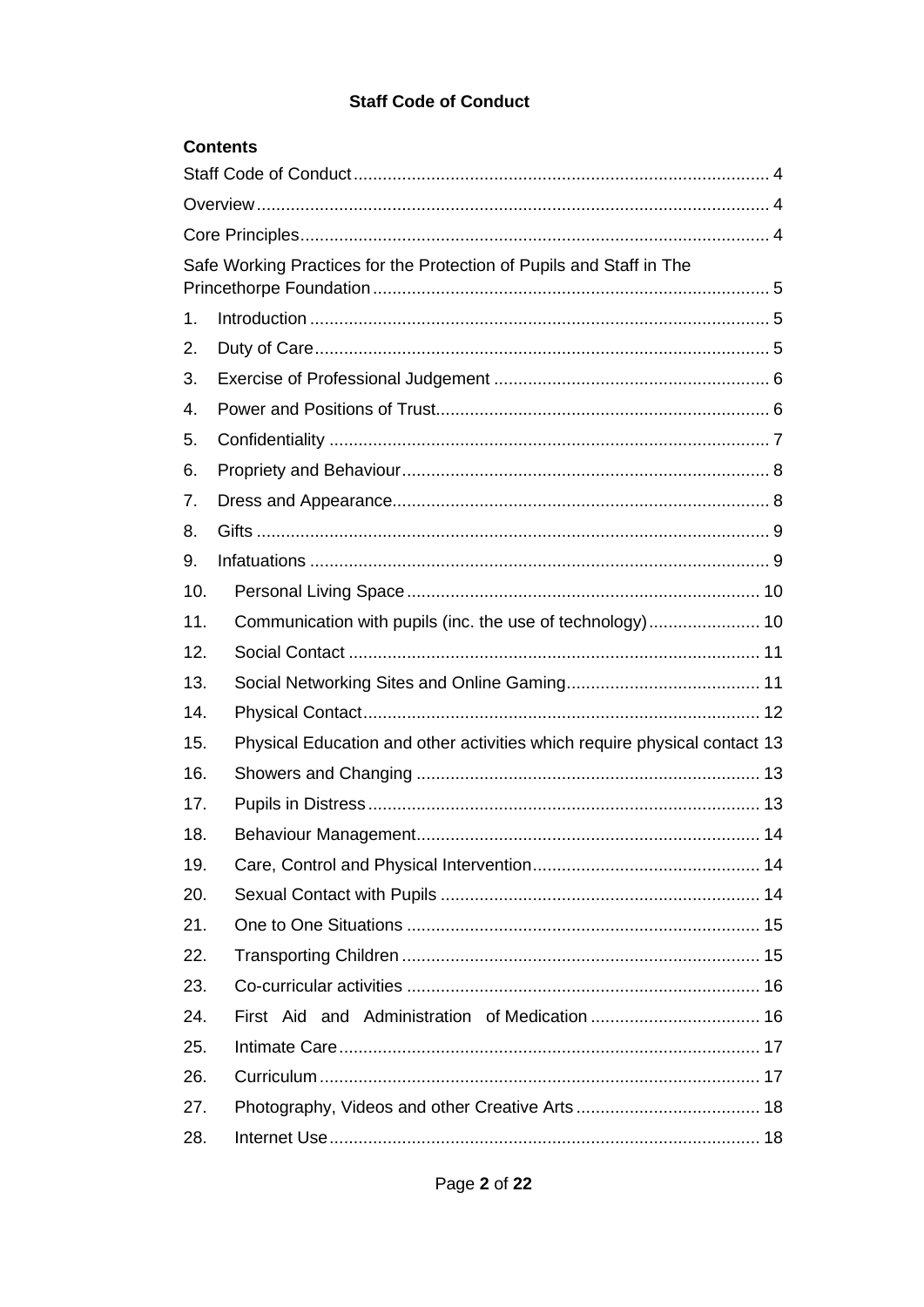# **Staff Code of Conduct**

|     | <b>Contents</b>                                                           |
|-----|---------------------------------------------------------------------------|
|     |                                                                           |
|     |                                                                           |
|     |                                                                           |
|     | Safe Working Practices for the Protection of Pupils and Staff in The      |
| 1.  |                                                                           |
| 2.  |                                                                           |
| 3.  |                                                                           |
| 4.  |                                                                           |
| 5.  |                                                                           |
| 6.  |                                                                           |
| 7.  |                                                                           |
| 8.  |                                                                           |
| 9.  |                                                                           |
| 10. |                                                                           |
| 11. |                                                                           |
| 12. |                                                                           |
| 13. |                                                                           |
| 14. |                                                                           |
| 15. | Physical Education and other activities which require physical contact 13 |
| 16. |                                                                           |
| 17. |                                                                           |
| 18. |                                                                           |
| 19. |                                                                           |
| 20. |                                                                           |
| 21. |                                                                           |
| 22. |                                                                           |
| 23. |                                                                           |
| 24. |                                                                           |
| 25. |                                                                           |
| 26. |                                                                           |
| 27. |                                                                           |
| 28. |                                                                           |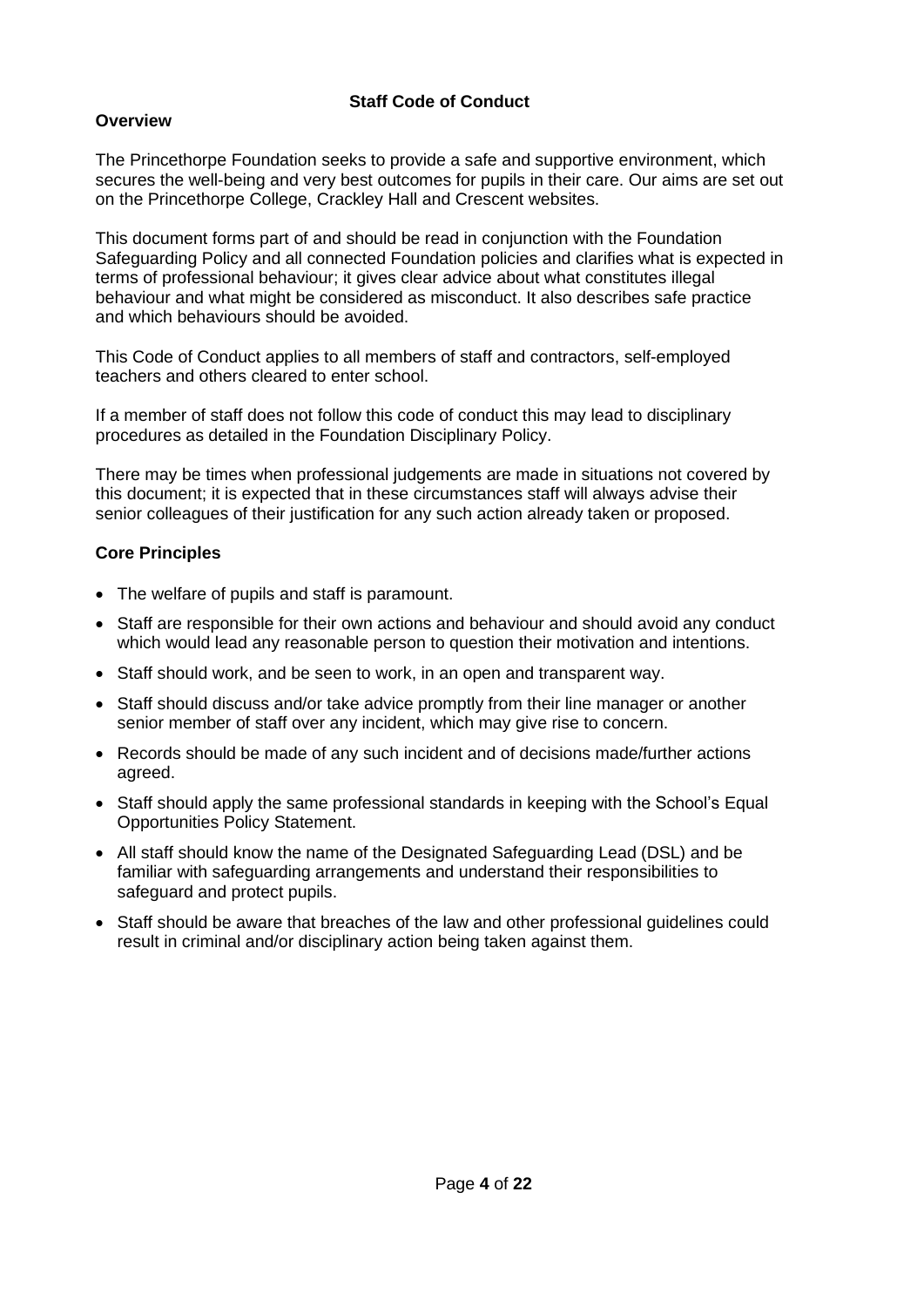## **Staff Code of Conduct**

# <span id="page-3-1"></span><span id="page-3-0"></span>**Overview**

The Princethorpe Foundation seeks to provide a safe and supportive environment, which secures the well-being and very best outcomes for pupils in their care. Our aims are set out on the Princethorpe College, Crackley Hall and Crescent websites.

This document forms part of and should be read in conjunction with the Foundation Safeguarding Policy and all connected Foundation policies and clarifies what is expected in terms of professional behaviour; it gives clear advice about what constitutes illegal behaviour and what might be considered as misconduct. It also describes safe practice and which behaviours should be avoided.

This Code of Conduct applies to all members of staff and contractors, self-employed teachers and others cleared to enter school.

If a member of staff does not follow this code of conduct this may lead to disciplinary procedures as detailed in the Foundation Disciplinary Policy.

There may be times when professional judgements are made in situations not covered by this document; it is expected that in these circumstances staff will always advise their senior colleagues of their justification for any such action already taken or proposed.

# <span id="page-3-2"></span>**Core Principles**

- The welfare of pupils and staff is paramount.
- Staff are responsible for their own actions and behaviour and should avoid any conduct which would lead any reasonable person to question their motivation and intentions.
- Staff should work, and be seen to work, in an open and transparent way.
- Staff should discuss and/or take advice promptly from their line manager or another senior member of staff over any incident, which may give rise to concern.
- Records should be made of any such incident and of decisions made/further actions agreed.
- Staff should apply the same professional standards in keeping with the School's Equal Opportunities Policy Statement.
- All staff should know the name of the Designated Safeguarding Lead (DSL) and be familiar with safeguarding arrangements and understand their responsibilities to safeguard and protect pupils.
- Staff should be aware that breaches of the law and other professional guidelines could result in criminal and/or disciplinary action being taken against them.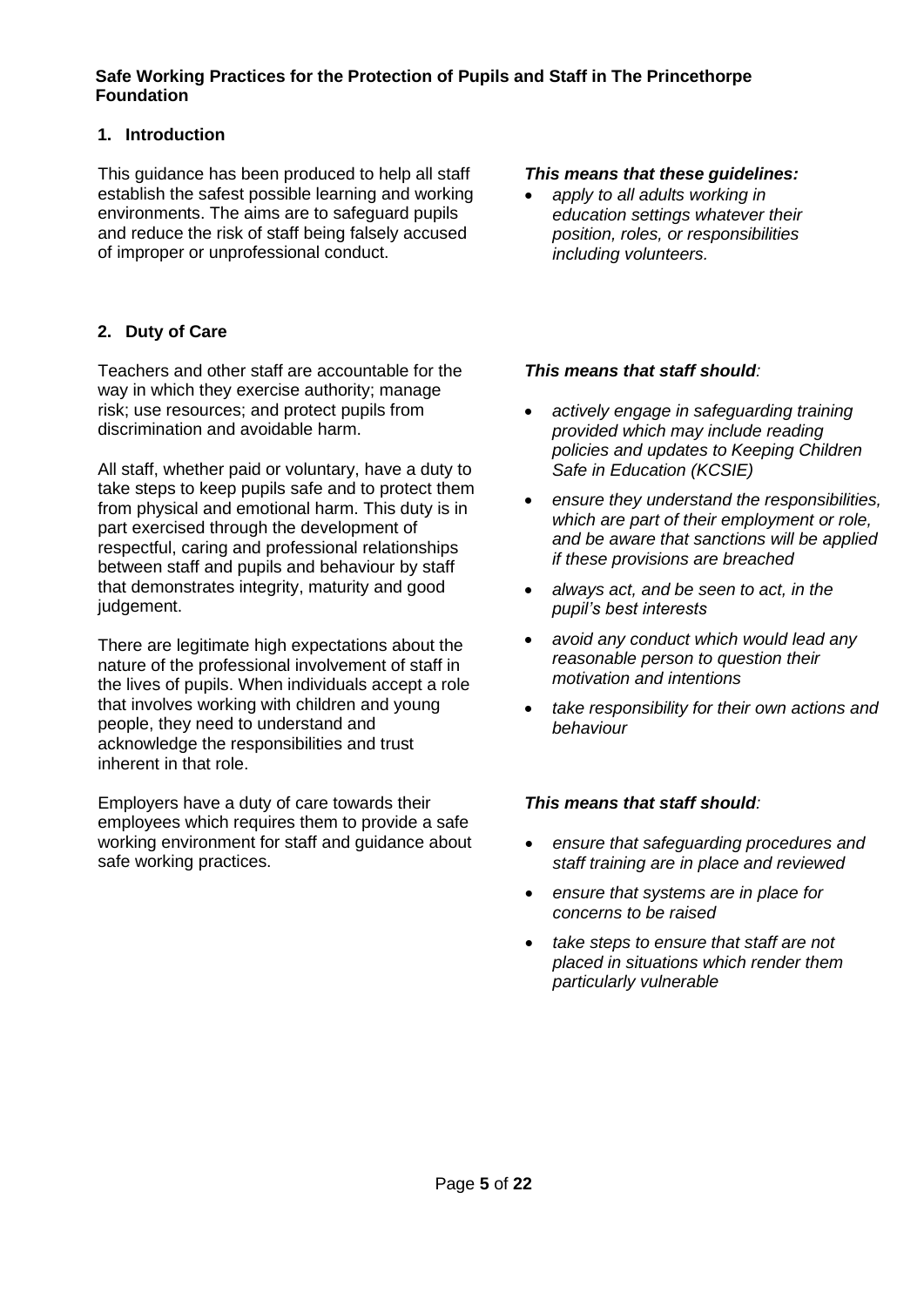#### <span id="page-4-0"></span>**Safe Working Practices for the Protection of Pupils and Staff in The Princethorpe Foundation**

## <span id="page-4-1"></span>**1. Introduction**

This guidance has been produced to help all staff establish the safest possible learning and working environments. The aims are to safeguard pupils and reduce the risk of staff being falsely accused of improper or unprofessional conduct.

# <span id="page-4-2"></span>**2. Duty of Care**

Teachers and other staff are accountable for the way in which they exercise authority; manage risk; use resources; and protect pupils from discrimination and avoidable harm.

All staff, whether paid or voluntary, have a duty to take steps to keep pupils safe and to protect them from physical and emotional harm. This duty is in part exercised through the development of respectful, caring and professional relationships between staff and pupils and behaviour by staff that demonstrates integrity, maturity and good judgement.

There are legitimate high expectations about the nature of the professional involvement of staff in the lives of pupils. When individuals accept a role that involves working with children and young people, they need to understand and acknowledge the responsibilities and trust inherent in that role.

Employers have a duty of care towards their employees which requires them to provide a safe working environment for staff and guidance about safe working practices.

#### *This means that these guidelines:*

• *apply to all adults working in education settings whatever their position, roles, or responsibilities including volunteers.*

## *This means that staff should:*

- *actively engage in safeguarding training provided which may include reading policies and updates to Keeping Children Safe in Education (KCSIE)*
- *ensure they understand the responsibilities, which are part of their employment or role, and be aware that sanctions will be applied if these provisions are breached*
- *always act, and be seen to act, in the pupil's best interests*
- *avoid any conduct which would lead any reasonable person to question their motivation and intentions*
- *take responsibility for their own actions and behaviour*

- *ensure that safeguarding procedures and staff training are in place and reviewed*
- *ensure that systems are in place for concerns to be raised*
- *take steps to ensure that staff are not placed in situations which render them particularly vulnerable*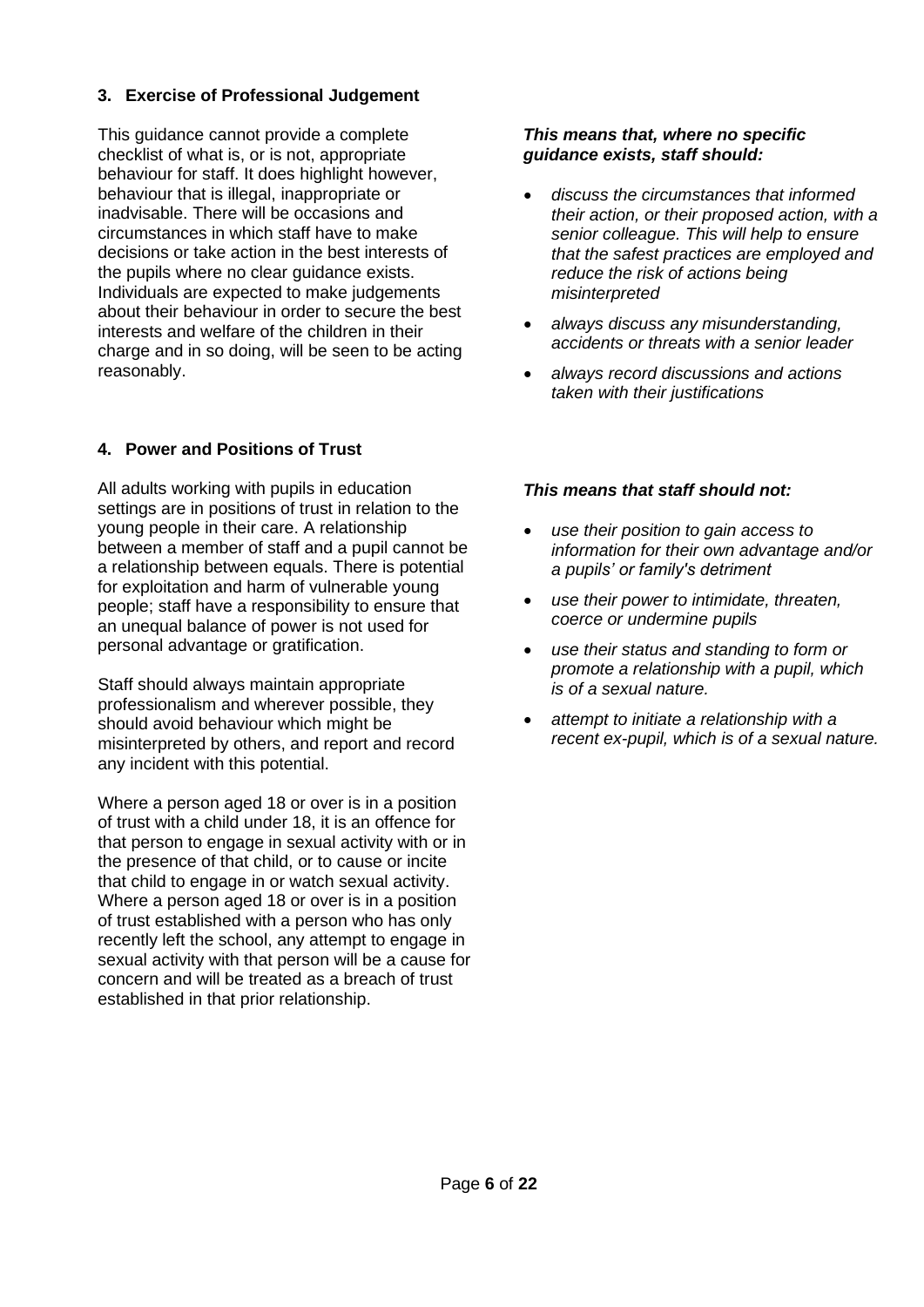## <span id="page-5-0"></span>**3. Exercise of Professional Judgement**

This guidance cannot provide a complete checklist of what is, or is not, appropriate behaviour for staff. It does highlight however, behaviour that is illegal, inappropriate or inadvisable. There will be occasions and circumstances in which staff have to make decisions or take action in the best interests of the pupils where no clear guidance exists. Individuals are expected to make judgements about their behaviour in order to secure the best interests and welfare of the children in their charge and in so doing, will be seen to be acting reasonably.

# <span id="page-5-1"></span>**4. Power and Positions of Trust**

All adults working with pupils in education settings are in positions of trust in relation to the young people in their care. A relationship between a member of staff and a pupil cannot be a relationship between equals. There is potential for exploitation and harm of vulnerable young people; staff have a responsibility to ensure that an unequal balance of power is not used for personal advantage or gratification.

Staff should always maintain appropriate professionalism and wherever possible, they should avoid behaviour which might be misinterpreted by others, and report and record any incident with this potential.

Where a person aged 18 or over is in a position of trust with a child under 18, it is an offence for that person to engage in sexual activity with or in the presence of that child, or to cause or incite that child to engage in or watch sexual activity. Where a person aged 18 or over is in a position of trust established with a person who has only recently left the school, any attempt to engage in sexual activity with that person will be a cause for concern and will be treated as a breach of trust established in that prior relationship.

#### *This means that, where no specific guidance exists, staff should:*

- *discuss the circumstances that informed their action, or their proposed action, with a senior colleague. This will help to ensure that the safest practices are employed and reduce the risk of actions being misinterpreted*
- *always discuss any misunderstanding, accidents or threats with a senior leader*
- *always record discussions and actions taken with their justifications*

- *use their position to gain access to information for their own advantage and/or a pupils' or family's detriment*
- *use their power to intimidate, threaten, coerce or undermine pupils*
- *use their status and standing to form or promote a relationship with a pupil, which is of a sexual nature.*
- *attempt to initiate a relationship with a recent ex-pupil, which is of a sexual nature.*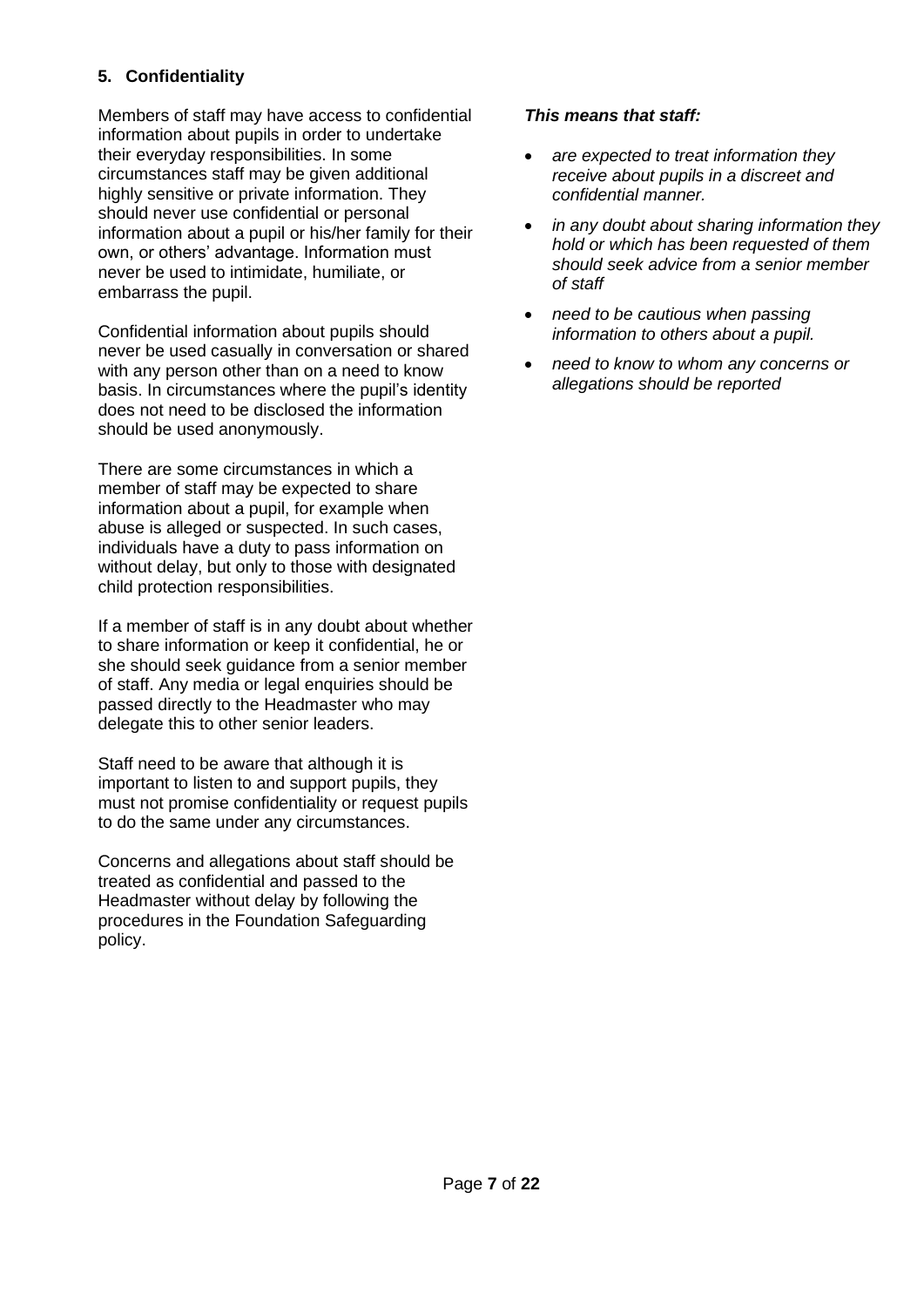# <span id="page-6-0"></span>**5. Confidentiality**

Members of staff may have access to confidential information about pupils in order to undertake their everyday responsibilities. In some circumstances staff may be given additional highly sensitive or private information. They should never use confidential or personal information about a pupil or his/her family for their own, or others' advantage. Information must never be used to intimidate, humiliate, or embarrass the pupil.

Confidential information about pupils should never be used casually in conversation or shared with any person other than on a need to know basis. In circumstances where the pupil's identity does not need to be disclosed the information should be used anonymously.

There are some circumstances in which a member of staff may be expected to share information about a pupil, for example when abuse is alleged or suspected. In such cases, individuals have a duty to pass information on without delay, but only to those with designated child protection responsibilities.

If a member of staff is in any doubt about whether to share information or keep it confidential, he or she should seek guidance from a senior member of staff. Any media or legal enquiries should be passed directly to the Headmaster who may delegate this to other senior leaders.

Staff need to be aware that although it is important to listen to and support pupils, they must not promise confidentiality or request pupils to do the same under any circumstances.

Concerns and allegations about staff should be treated as confidential and passed to the Headmaster without delay by following the procedures in the Foundation Safeguarding policy.

#### *This means that staff:*

- *are expected to treat information they receive about pupils in a discreet and confidential manner.*
- *in any doubt about sharing information they hold or which has been requested of them should seek advice from a senior member of staff*
- *need to be cautious when passing information to others about a pupil.*
- *need to know to whom any concerns or allegations should be reported*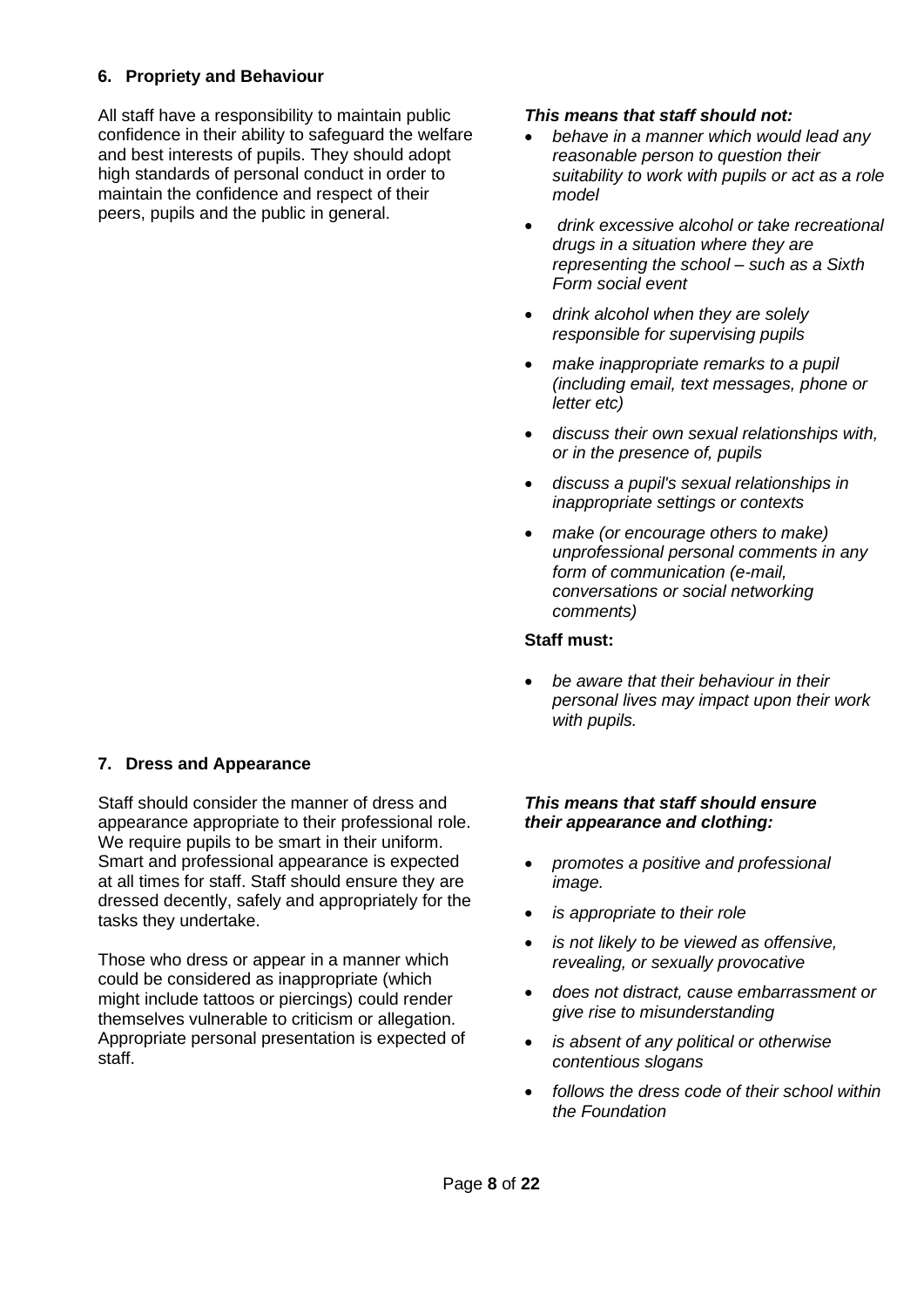# <span id="page-7-0"></span>**6. Propriety and Behaviour**

All staff have a responsibility to maintain public confidence in their ability to safeguard the welfare and best interests of pupils. They should adopt high standards of personal conduct in order to maintain the confidence and respect of their peers, pupils and the public in general.

## <span id="page-7-1"></span>**7. Dress and Appearance**

Staff should consider the manner of dress and appearance appropriate to their professional role. We require pupils to be smart in their uniform. Smart and professional appearance is expected at all times for staff. Staff should ensure they are dressed decently, safely and appropriately for the tasks they undertake.

Those who dress or appear in a manner which could be considered as inappropriate (which might include tattoos or piercings) could render themselves vulnerable to criticism or allegation. Appropriate personal presentation is expected of staff.

#### *This means that staff should not:*

- *behave in a manner which would lead any reasonable person to question their suitability to work with pupils or act as a role model*
- *drink excessive alcohol or take recreational drugs in a situation where they are representing the school – such as a Sixth Form social event*
- *drink alcohol when they are solely responsible for supervising pupils*
- *make inappropriate remarks to a pupil (including email, text messages, phone or letter etc)*
- *discuss their own sexual relationships with, or in the presence of, pupils*
- *discuss a pupil's sexual relationships in inappropriate settings or contexts*
- *make (or encourage others to make) unprofessional personal comments in any form of communication (e-mail, conversations or social networking comments)*

#### **Staff must:**

• *be aware that their behaviour in their personal lives may impact upon their work with pupils.* 

#### *This means that staff should ensure their appearance and clothing:*

- *promotes a positive and professional image.*
- *is appropriate to their role*
- *is not likely to be viewed as offensive, revealing, or sexually provocative*
- *does not distract, cause embarrassment or give rise to misunderstanding*
- *is absent of any political or otherwise contentious slogans*
- *follows the dress code of their school within the Foundation*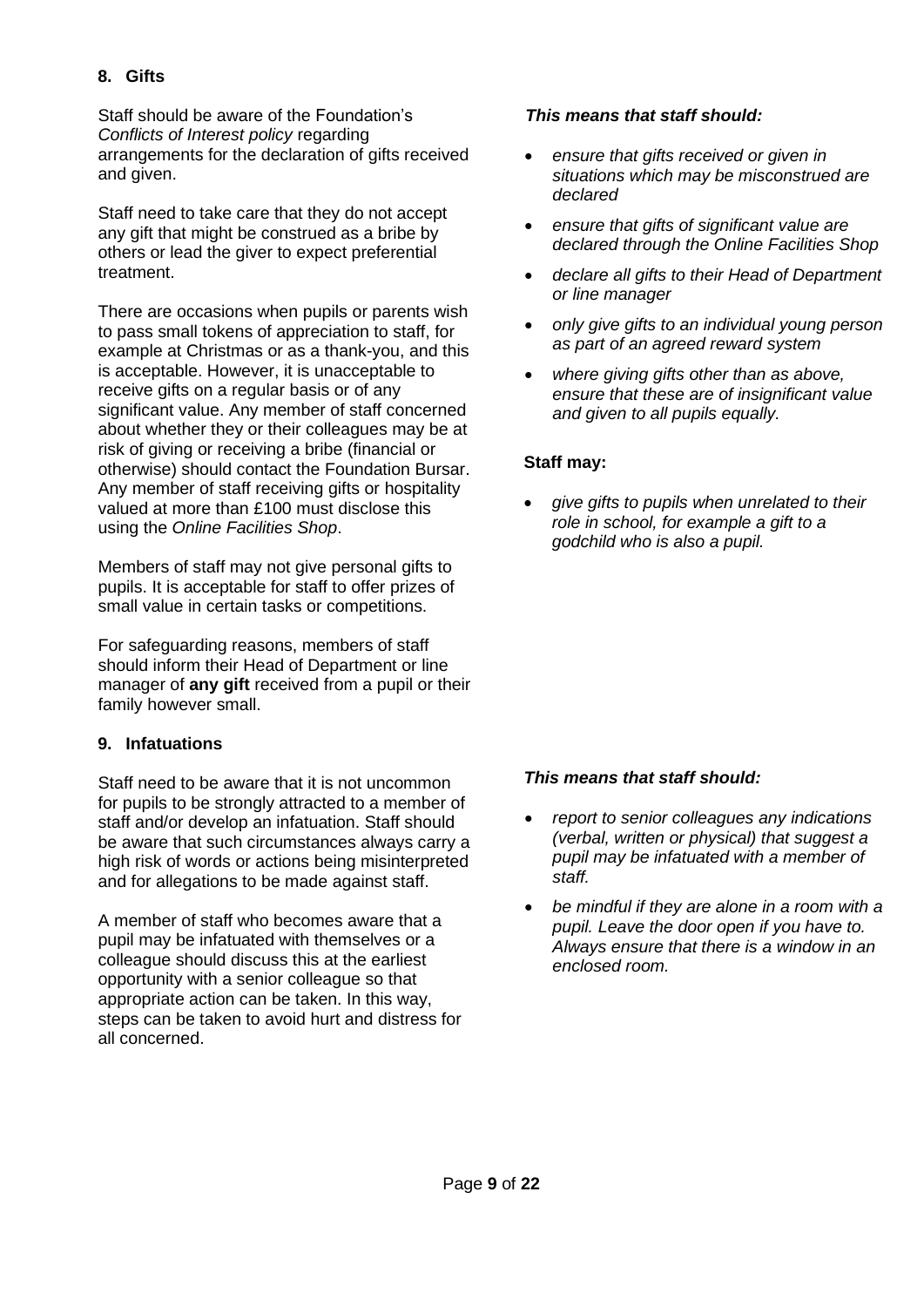# <span id="page-8-0"></span>**8. Gifts**

Staff should be aware of the Foundation's *Conflicts of Interest policy* regarding arrangements for the declaration of gifts received and given.

Staff need to take care that they do not accept any gift that might be construed as a bribe by others or lead the giver to expect preferential treatment.

There are occasions when pupils or parents wish to pass small tokens of appreciation to staff, for example at Christmas or as a thank-you, and this is acceptable. However, it is unacceptable to receive gifts on a regular basis or of any significant value. Any member of staff concerned about whether they or their colleagues may be at risk of giving or receiving a bribe (financial or otherwise) should contact the Foundation Bursar. Any member of staff receiving gifts or hospitality valued at more than £100 must disclose this using the *Online Facilities Shop*.

Members of staff may not give personal gifts to pupils. It is acceptable for staff to offer prizes of small value in certain tasks or competitions.

For safeguarding reasons, members of staff should inform their Head of Department or line manager of **any gift** received from a pupil or their family however small.

## <span id="page-8-1"></span>**9. Infatuations**

Staff need to be aware that it is not uncommon for pupils to be strongly attracted to a member of staff and/or develop an infatuation. Staff should be aware that such circumstances always carry a high risk of words or actions being misinterpreted and for allegations to be made against staff.

A member of staff who becomes aware that a pupil may be infatuated with themselves or a colleague should discuss this at the earliest opportunity with a senior colleague so that appropriate action can be taken. In this way, steps can be taken to avoid hurt and distress for all concerned.

#### *This means that staff should:*

- *ensure that gifts received or given in situations which may be misconstrued are declared*
- *ensure that gifts of significant value are declared through the Online Facilities Shop*
- *declare all gifts to their Head of Department or line manager*
- *only give gifts to an individual young person as part of an agreed reward system*
- *where giving gifts other than as above, ensure that these are of insignificant value and given to all pupils equally.*

## **Staff may:**

• *give gifts to pupils when unrelated to their role in school, for example a gift to a godchild who is also a pupil.*

- *report to senior colleagues any indications (verbal, written or physical) that suggest a pupil may be infatuated with a member of staff.*
- *be mindful if they are alone in a room with a pupil. Leave the door open if you have to. Always ensure that there is a window in an enclosed room.*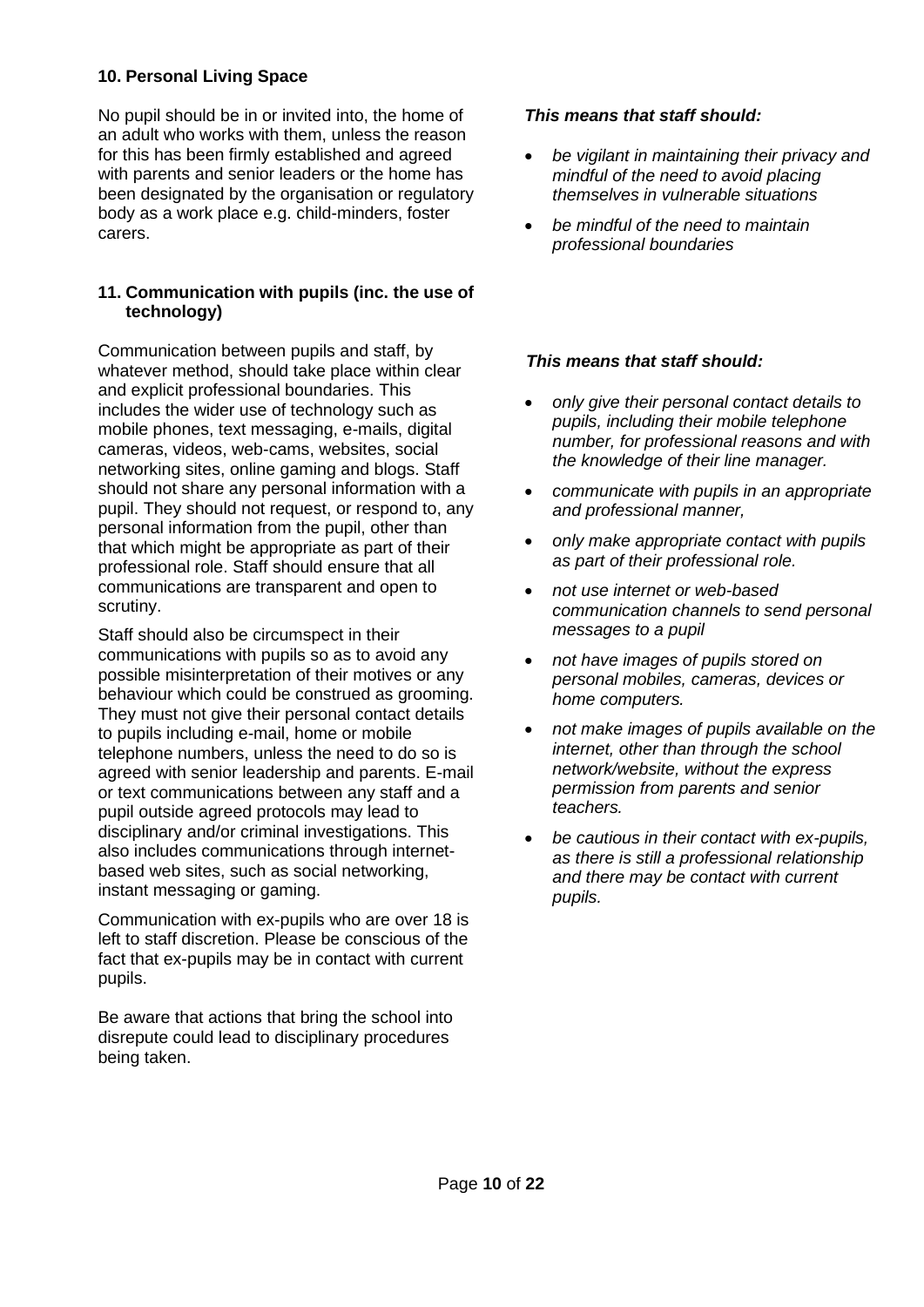## <span id="page-9-0"></span>**10. Personal Living Space**

No pupil should be in or invited into, the home of an adult who works with them, unless the reason for this has been firmly established and agreed with parents and senior leaders or the home has been designated by the organisation or regulatory body as a work place e.g. child-minders, foster carers.

## <span id="page-9-1"></span>**11. Communication with pupils (inc. the use of technology)**

Communication between pupils and staff, by whatever method, should take place within clear and explicit professional boundaries. This includes the wider use of technology such as mobile phones, text messaging, e-mails, digital cameras, videos, web-cams, websites, social networking sites, online gaming and blogs. Staff should not share any personal information with a pupil. They should not request, or respond to, any personal information from the pupil, other than that which might be appropriate as part of their professional role. Staff should ensure that all communications are transparent and open to scrutiny.

Staff should also be circumspect in their communications with pupils so as to avoid any possible misinterpretation of their motives or any behaviour which could be construed as grooming. They must not give their personal contact details to pupils including e-mail, home or mobile telephone numbers, unless the need to do so is agreed with senior leadership and parents. E-mail or text communications between any staff and a pupil outside agreed protocols may lead to disciplinary and/or criminal investigations. This also includes communications through internetbased web sites, such as social networking, instant messaging or gaming.

Communication with ex-pupils who are over 18 is left to staff discretion. Please be conscious of the fact that ex-pupils may be in contact with current pupils.

Be aware that actions that bring the school into disrepute could lead to disciplinary procedures being taken.

#### *This means that staff should:*

- *be vigilant in maintaining their privacy and mindful of the need to avoid placing themselves in vulnerable situations*
- *be mindful of the need to maintain professional boundaries*

- *only give their personal contact details to pupils, including their mobile telephone number, for professional reasons and with the knowledge of their line manager.*
- *communicate with pupils in an appropriate and professional manner,*
- *only make appropriate contact with pupils as part of their professional role.*
- *not use internet or web-based communication channels to send personal messages to a pupil*
- *not have images of pupils stored on personal mobiles, cameras, devices or home computers.*
- *not make images of pupils available on the internet, other than through the school network/website, without the express permission from parents and senior teachers.*
- *be cautious in their contact with ex-pupils, as there is still a professional relationship and there may be contact with current pupils.*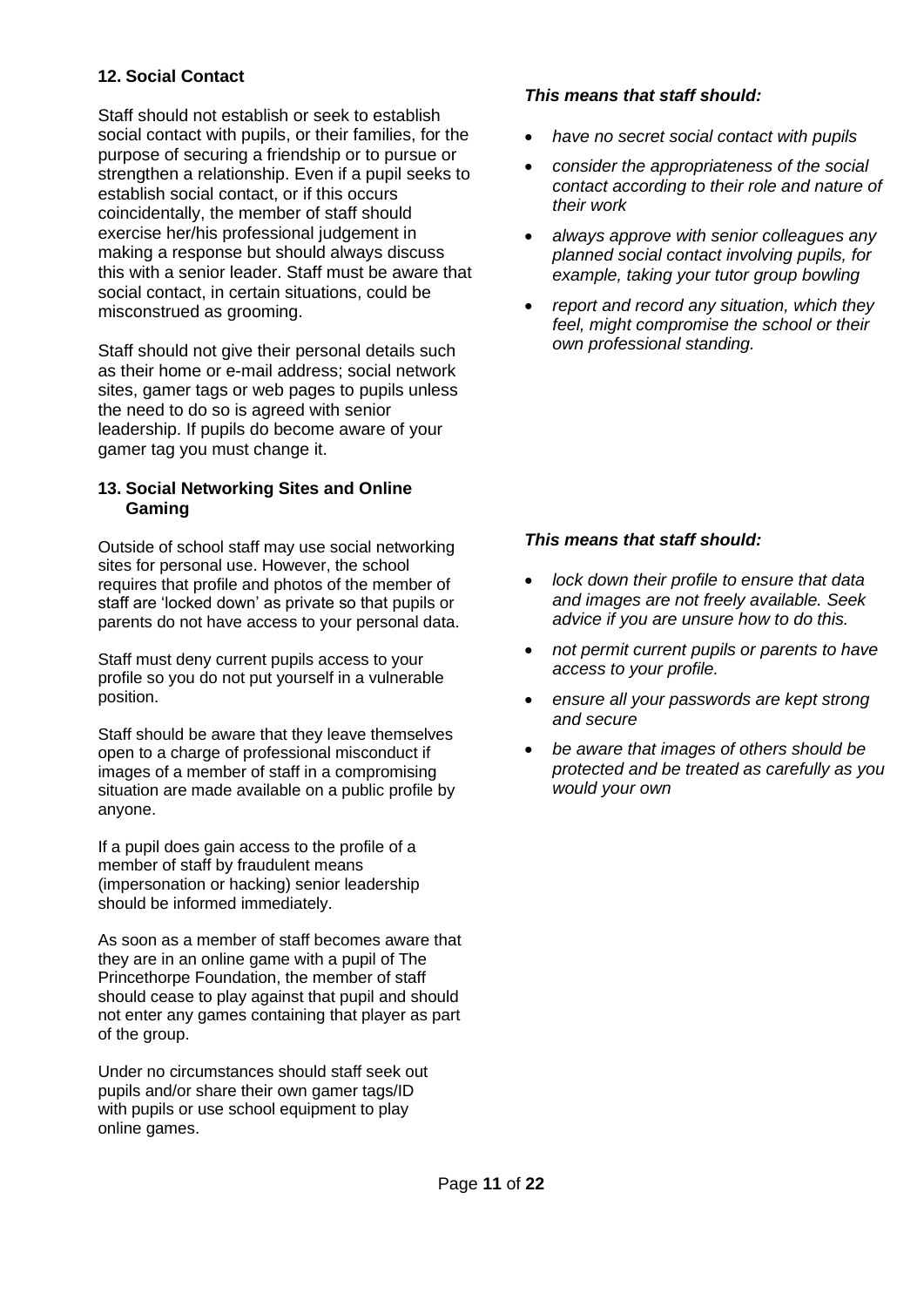## <span id="page-10-0"></span>**12. Social Contact**

Staff should not establish or seek to establish social contact with pupils, or their families, for the purpose of securing a friendship or to pursue or strengthen a relationship. Even if a pupil seeks to establish social contact, or if this occurs coincidentally, the member of staff should exercise her/his professional judgement in making a response but should always discuss this with a senior leader. Staff must be aware that social contact, in certain situations, could be misconstrued as grooming.

Staff should not give their personal details such as their home or e-mail address; social network sites, gamer tags or web pages to pupils unless the need to do so is agreed with senior leadership. If pupils do become aware of your gamer tag you must change it.

#### <span id="page-10-1"></span>**13. Social Networking Sites and Online Gaming**

Outside of school staff may use social networking sites for personal use. However, the school requires that profile and photos of the member of staff are 'locked down' as private so that pupils or parents do not have access to your personal data.

Staff must deny current pupils access to your profile so you do not put yourself in a vulnerable position.

Staff should be aware that they leave themselves open to a charge of professional misconduct if images of a member of staff in a compromising situation are made available on a public profile by anyone.

If a pupil does gain access to the profile of a member of staff by fraudulent means (impersonation or hacking) senior leadership should be informed immediately.

As soon as a member of staff becomes aware that they are in an online game with a pupil of The Princethorpe Foundation, the member of staff should cease to play against that pupil and should not enter any games containing that player as part of the group.

Under no circumstances should staff seek out pupils and/or share their own gamer tags/ID with pupils or use school equipment to play online games.

## *This means that staff should:*

- *have no secret social contact with pupils*
- *consider the appropriateness of the social contact according to their role and nature of their work*
- *always approve with senior colleagues any planned social contact involving pupils, for example, taking your tutor group bowling*
- *report and record any situation, which they feel, might compromise the school or their own professional standing.*

- *lock down their profile to ensure that data and images are not freely available. Seek advice if you are unsure how to do this.*
- *not permit current pupils or parents to have access to your profile.*
- *ensure all your passwords are kept strong and secure*
- *be aware that images of others should be protected and be treated as carefully as you would your own*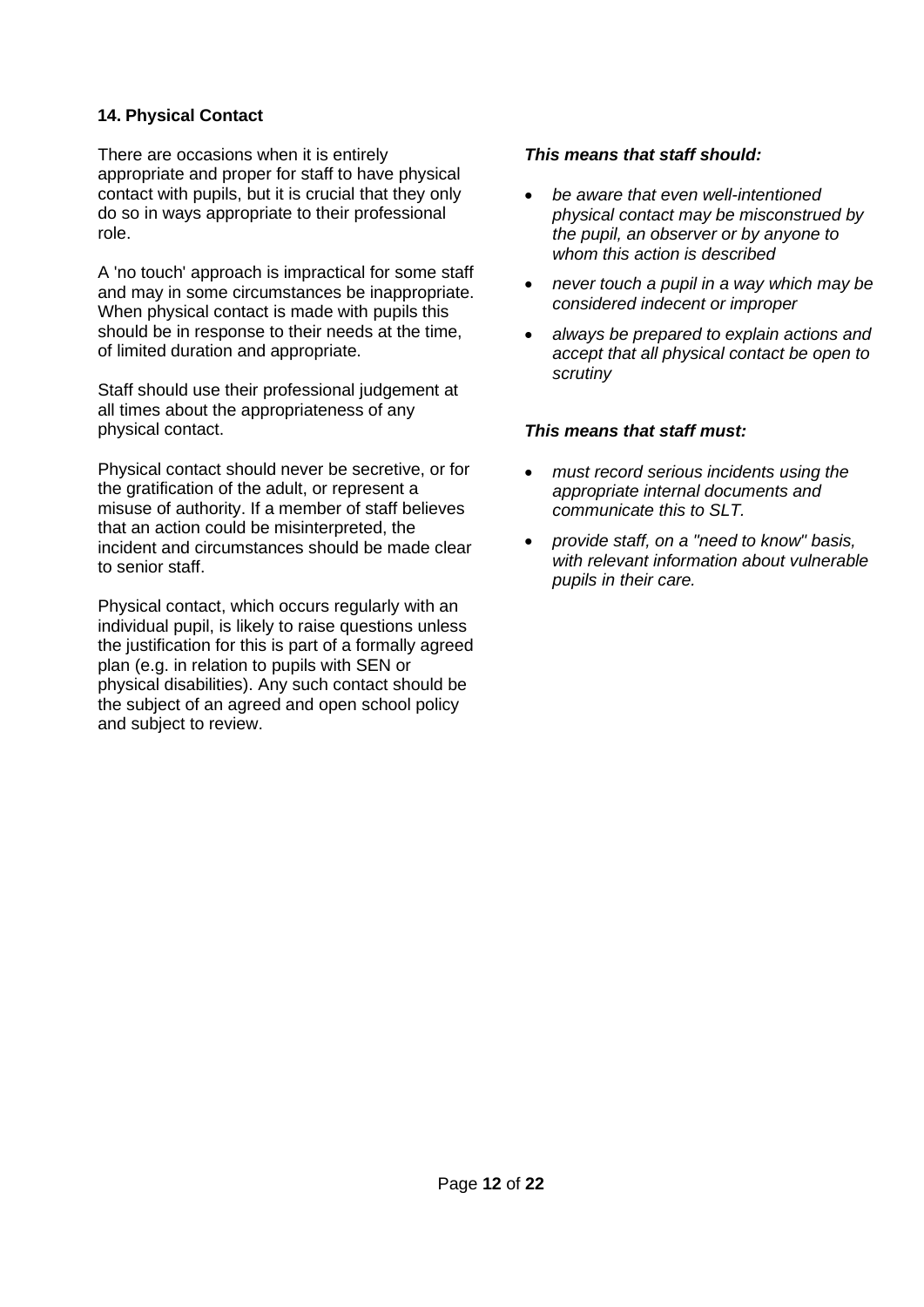## <span id="page-11-0"></span>**14. Physical Contact**

There are occasions when it is entirely appropriate and proper for staff to have physical contact with pupils, but it is crucial that they only do so in ways appropriate to their professional role.

A 'no touch' approach is impractical for some staff and may in some circumstances be inappropriate. When physical contact is made with pupils this should be in response to their needs at the time, of limited duration and appropriate.

Staff should use their professional judgement at all times about the appropriateness of any physical contact.

Physical contact should never be secretive, or for the gratification of the adult, or represent a misuse of authority. If a member of staff believes that an action could be misinterpreted, the incident and circumstances should be made clear to senior staff.

Physical contact, which occurs regularly with an individual pupil, is likely to raise questions unless the justification for this is part of a formally agreed plan (e.g. in relation to pupils with SEN or physical disabilities). Any such contact should be the subject of an agreed and open school policy and subject to review.

### *This means that staff should:*

- *be aware that even well-intentioned physical contact may be misconstrued by the pupil, an observer or by anyone to whom this action is described*
- *never touch a pupil in a way which may be considered indecent or improper*
- *always be prepared to explain actions and accept that all physical contact be open to scrutiny*

#### *This means that staff must:*

- *must record serious incidents using the appropriate internal documents and communicate this to SLT.*
- *provide staff, on a "need to know" basis, with relevant information about vulnerable pupils in their care.*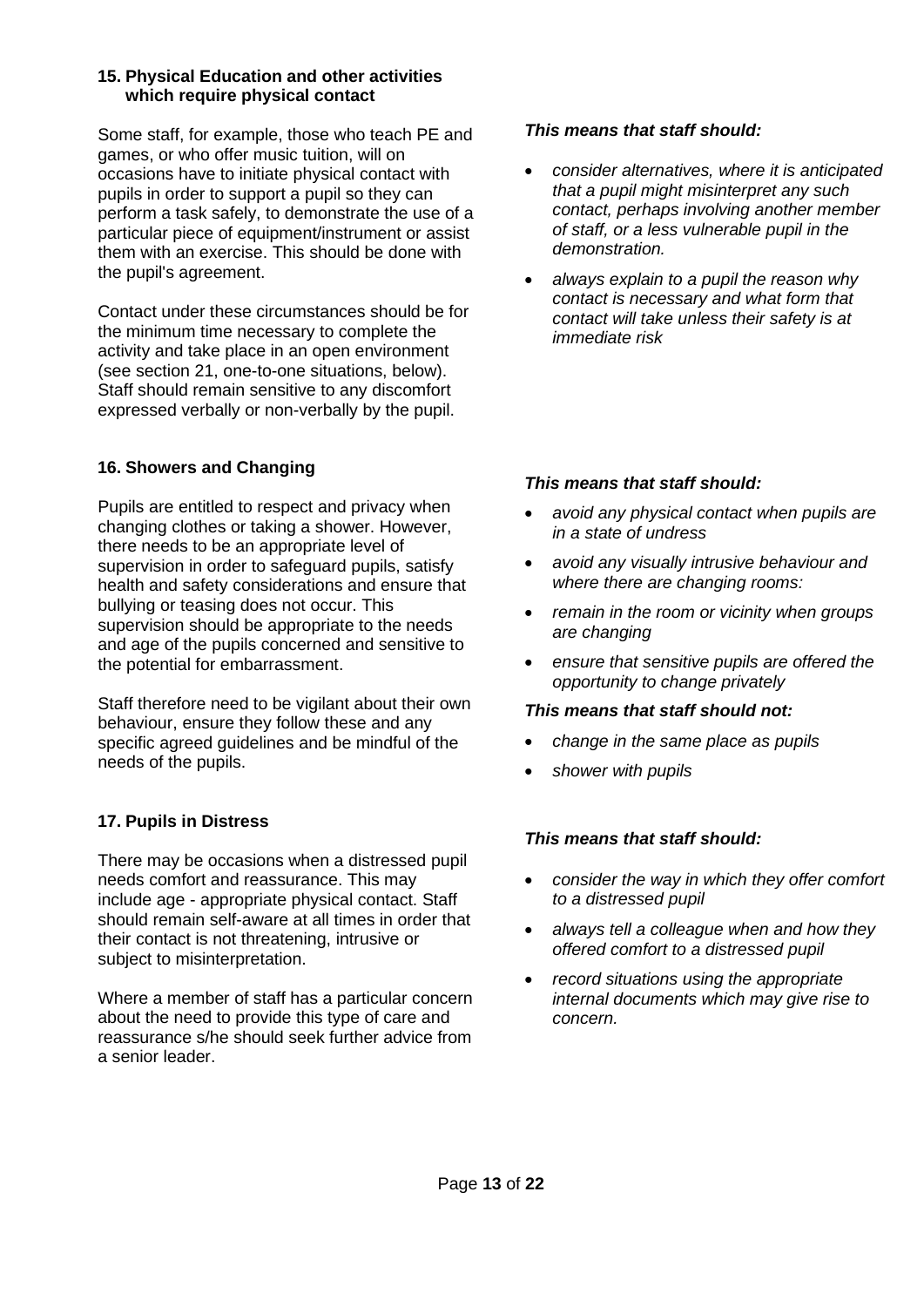#### <span id="page-12-0"></span>**15. Physical Education and other activities which require physical contact**

Some staff, for example, those who teach PE and games, or who offer music tuition, will on occasions have to initiate physical contact with pupils in order to support a pupil so they can perform a task safely, to demonstrate the use of a particular piece of equipment/instrument or assist them with an exercise. This should be done with the pupil's agreement.

Contact under these circumstances should be for the minimum time necessary to complete the activity and take place in an open environment (see section 21, one-to-one situations, below). Staff should remain sensitive to any discomfort expressed verbally or non-verbally by the pupil.

## <span id="page-12-1"></span>**16. Showers and Changing**

Pupils are entitled to respect and privacy when changing clothes or taking a shower. However, there needs to be an appropriate level of supervision in order to safeguard pupils, satisfy health and safety considerations and ensure that bullying or teasing does not occur. This supervision should be appropriate to the needs and age of the pupils concerned and sensitive to the potential for embarrassment.

Staff therefore need to be vigilant about their own behaviour, ensure they follow these and any specific agreed guidelines and be mindful of the needs of the pupils.

# <span id="page-12-2"></span>**17. Pupils in Distress**

There may be occasions when a distressed pupil needs comfort and reassurance. This may include age - appropriate physical contact. Staff should remain self-aware at all times in order that their contact is not threatening, intrusive or subject to misinterpretation.

Where a member of staff has a particular concern about the need to provide this type of care and reassurance s/he should seek further advice from a senior leader.

#### *This means that staff should:*

- *consider alternatives, where it is anticipated that a pupil might misinterpret any such contact, perhaps involving another member of staff, or a less vulnerable pupil in the demonstration.*
- *always explain to a pupil the reason why contact is necessary and what form that contact will take unless their safety is at immediate risk*

## *This means that staff should:*

- *avoid any physical contact when pupils are in a state of undress*
- *avoid any visually intrusive behaviour and where there are changing rooms:*
- *remain in the room or vicinity when groups are changing*
- *ensure that sensitive pupils are offered the opportunity to change privately*

#### *This means that staff should not:*

- *change in the same place as pupils*
- *shower with pupils*

- *consider the way in which they offer comfort to a distressed pupil*
- *always tell a colleague when and how they offered comfort to a distressed pupil*
- *record situations using the appropriate internal documents which may give rise to concern.*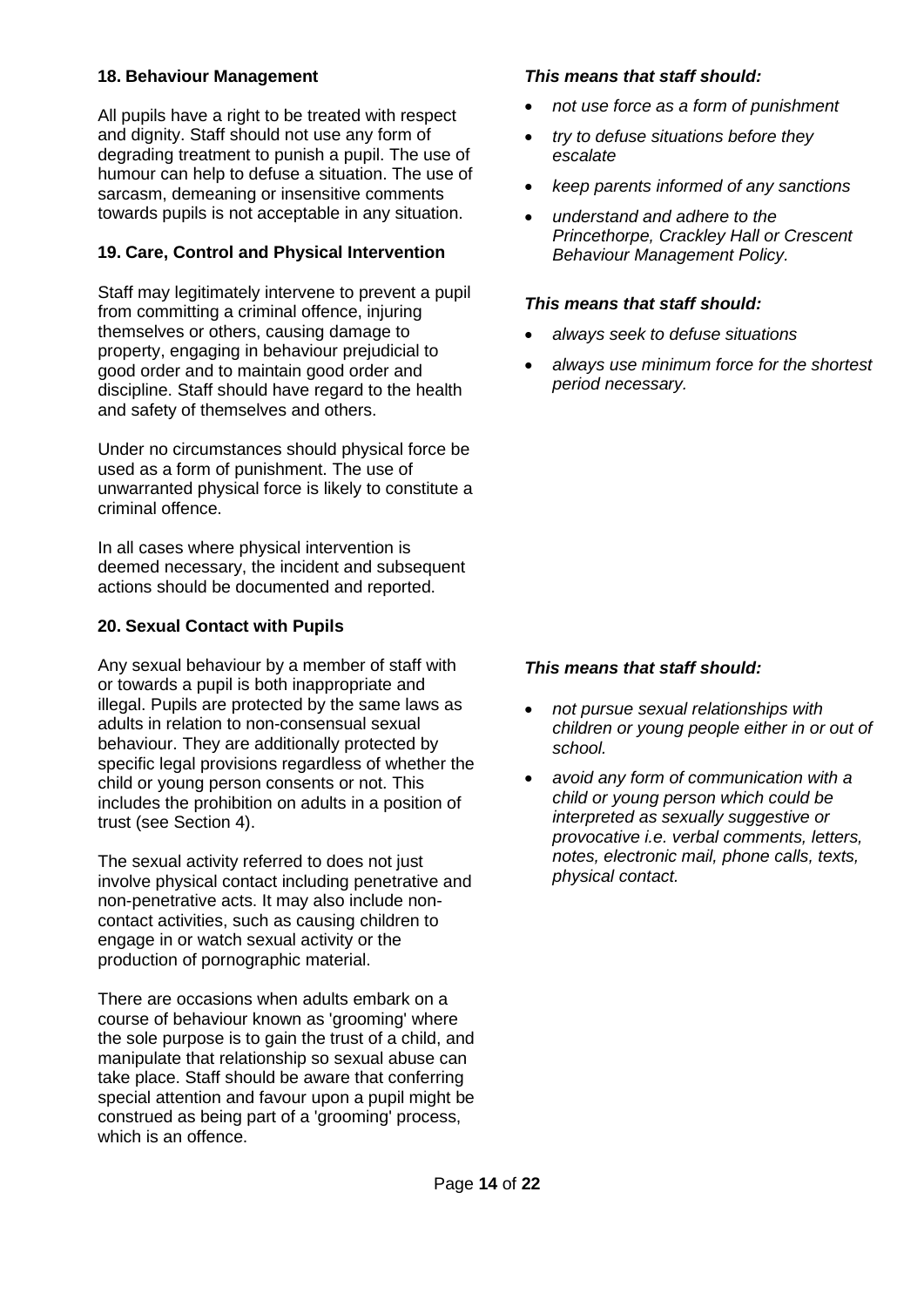## <span id="page-13-0"></span>**18. Behaviour Management**

All pupils have a right to be treated with respect and dignity. Staff should not use any form of degrading treatment to punish a pupil. The use of humour can help to defuse a situation. The use of sarcasm, demeaning or insensitive comments towards pupils is not acceptable in any situation.

## <span id="page-13-1"></span>**19. Care, Control and Physical Intervention**

Staff may legitimately intervene to prevent a pupil from committing a criminal offence, injuring themselves or others, causing damage to property, engaging in behaviour prejudicial to good order and to maintain good order and discipline. Staff should have regard to the health and safety of themselves and others.

Under no circumstances should physical force be used as a form of punishment. The use of unwarranted physical force is likely to constitute a criminal offence.

In all cases where physical intervention is deemed necessary, the incident and subsequent actions should be documented and reported.

#### <span id="page-13-2"></span>**20. Sexual Contact with Pupils**

Any sexual behaviour by a member of staff with or towards a pupil is both inappropriate and illegal. Pupils are protected by the same laws as adults in relation to non-consensual sexual behaviour. They are additionally protected by specific legal provisions regardless of whether the child or young person consents or not. This includes the prohibition on adults in a position of trust (see Section 4).

The sexual activity referred to does not just involve physical contact including penetrative and non-penetrative acts. It may also include noncontact activities, such as causing children to engage in or watch sexual activity or the production of pornographic material.

There are occasions when adults embark on a course of behaviour known as 'grooming' where the sole purpose is to gain the trust of a child, and manipulate that relationship so sexual abuse can take place. Staff should be aware that conferring special attention and favour upon a pupil might be construed as being part of a 'grooming' process, which is an offence.

#### *This means that staff should:*

- *not use force as a form of punishment*
- *try to defuse situations before they escalate*
- *keep parents informed of any sanctions*
- *understand and adhere to the Princethorpe, Crackley Hall or Crescent Behaviour Management Policy.*

#### *This means that staff should:*

- *always seek to defuse situations*
- *always use minimum force for the shortest period necessary.*

- *not pursue sexual relationships with children or young people either in or out of school.*
- *avoid any form of communication with a child or young person which could be interpreted as sexually suggestive or provocative i.e. verbal comments, letters, notes, electronic mail, phone calls, texts, physical contact.*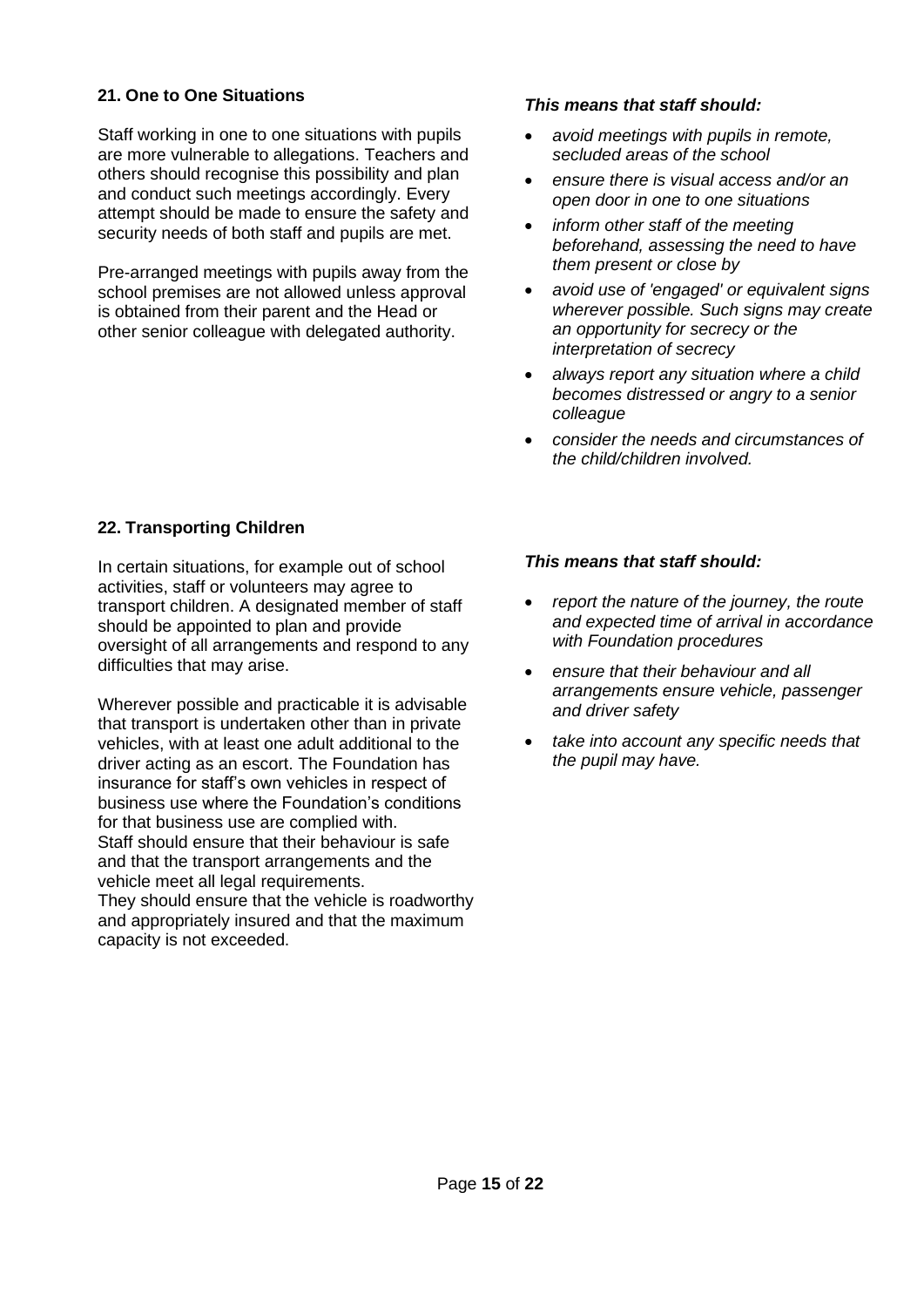## <span id="page-14-0"></span>**21. One to One Situations**

Staff working in one to one situations with pupils are more vulnerable to allegations. Teachers and others should recognise this possibility and plan and conduct such meetings accordingly. Every attempt should be made to ensure the safety and security needs of both staff and pupils are met.

Pre-arranged meetings with pupils away from the school premises are not allowed unless approval is obtained from their parent and the Head or other senior colleague with delegated authority.

#### *This means that staff should:*

- *avoid meetings with pupils in remote, secluded areas of the school*
- *ensure there is visual access and/or an open door in one to one situations*
- *inform other staff of the meeting beforehand, assessing the need to have them present or close by*
- *avoid use of 'engaged' or equivalent signs wherever possible. Such signs may create an opportunity for secrecy or the interpretation of secrecy*
- *always report any situation where a child becomes distressed or angry to a senior colleague*
- *consider the needs and circumstances of the child/children involved.*

#### <span id="page-14-1"></span>**22. Transporting Children**

In certain situations, for example out of school activities, staff or volunteers may agree to transport children. A designated member of staff should be appointed to plan and provide oversight of all arrangements and respond to any difficulties that may arise.

Wherever possible and practicable it is advisable that transport is undertaken other than in private vehicles, with at least one adult additional to the driver acting as an escort. The Foundation has insurance for staff's own vehicles in respect of business use where the Foundation's conditions for that business use are complied with. Staff should ensure that their behaviour is safe and that the transport arrangements and the vehicle meet all legal requirements.

They should ensure that the vehicle is roadworthy and appropriately insured and that the maximum capacity is not exceeded.

- *report the nature of the journey, the route and expected time of arrival in accordance with Foundation procedures*
- *ensure that their behaviour and all arrangements ensure vehicle, passenger and driver safety*
- *take into account any specific needs that the pupil may have.*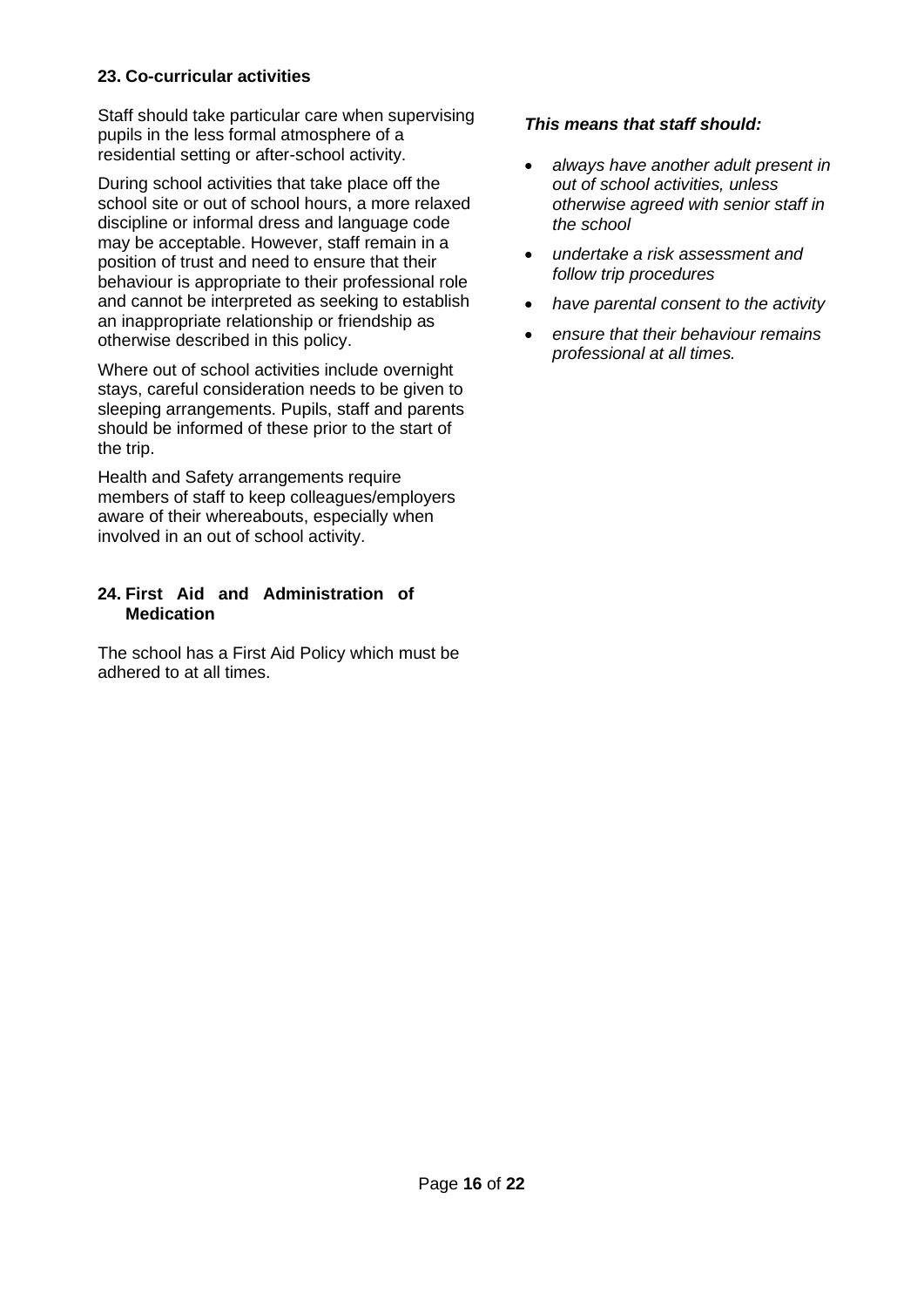# <span id="page-15-0"></span>**23. Co-curricular activities**

Staff should take particular care when supervising pupils in the less formal atmosphere of a residential setting or after-school activity.

During school activities that take place off the school site or out of school hours, a more relaxed discipline or informal dress and language code may be acceptable. However, staff remain in a position of trust and need to ensure that their behaviour is appropriate to their professional role and cannot be interpreted as seeking to establish an inappropriate relationship or friendship as otherwise described in this policy.

Where out of school activities include overnight stays, careful consideration needs to be given to sleeping arrangements. Pupils, staff and parents should be informed of these prior to the start of the trip.

Health and Safety arrangements require members of staff to keep colleagues/employers aware of their whereabouts, especially when involved in an out of school activity.

## <span id="page-15-1"></span>**24. First Aid and Administration of Medication**

The school has a First Aid Policy which must be adhered to at all times.

- *always have another adult present in out of school activities, unless otherwise agreed with senior staff in the school*
- *undertake a risk assessment and follow trip procedures*
- *have parental consent to the activity*
- *ensure that their behaviour remains professional at all times.*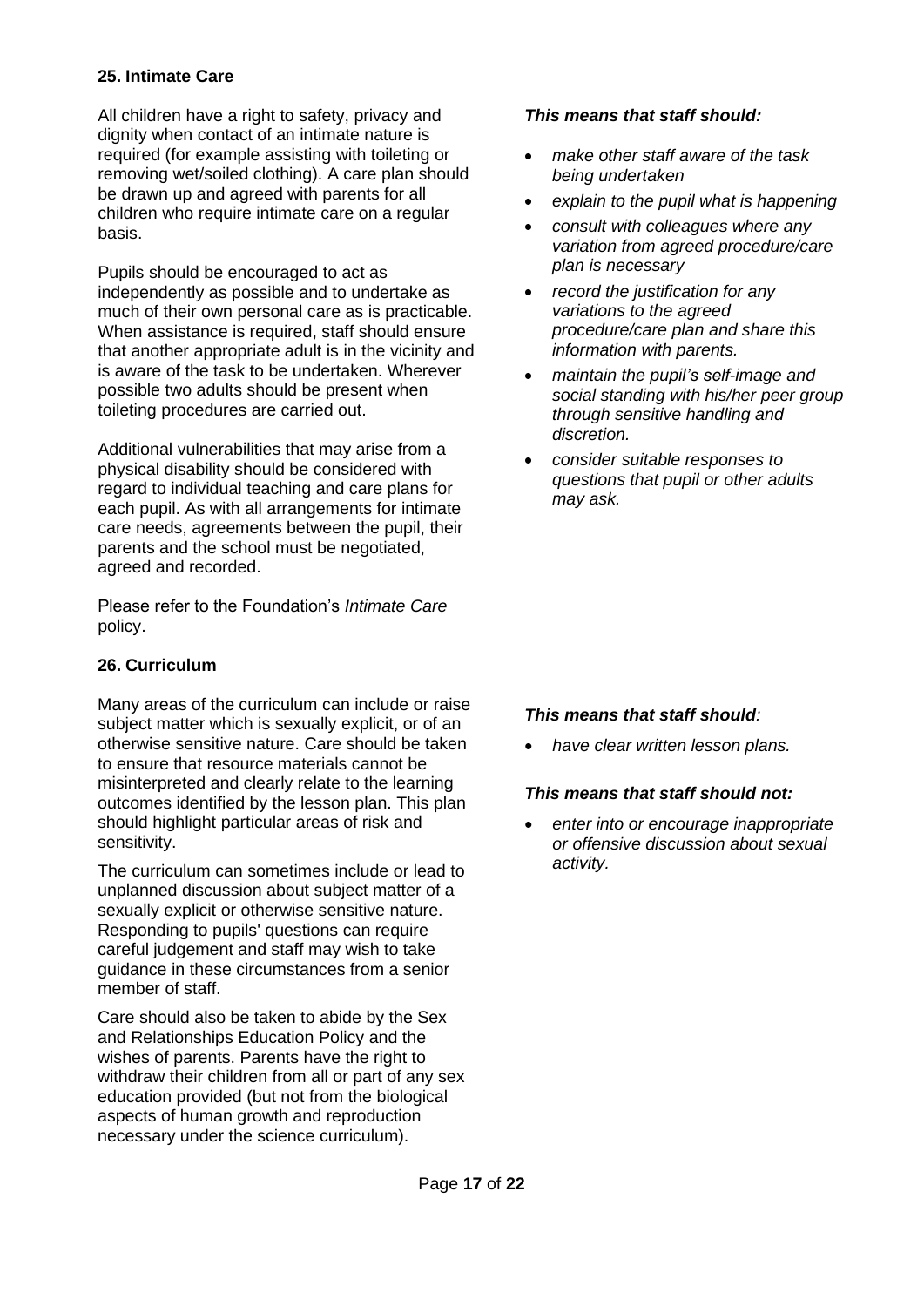## <span id="page-16-0"></span>**25. Intimate Care**

All children have a right to safety, privacy and dignity when contact of an intimate nature is required (for example assisting with toileting or removing wet/soiled clothing). A care plan should be drawn up and agreed with parents for all children who require intimate care on a regular basis.

Pupils should be encouraged to act as independently as possible and to undertake as much of their own personal care as is practicable. When assistance is required, staff should ensure that another appropriate adult is in the vicinity and is aware of the task to be undertaken. Wherever possible two adults should be present when toileting procedures are carried out.

Additional vulnerabilities that may arise from a physical disability should be considered with regard to individual teaching and care plans for each pupil. As with all arrangements for intimate care needs, agreements between the pupil, their parents and the school must be negotiated, agreed and recorded.

Please refer to the Foundation's *Intimate Care* policy.

## <span id="page-16-1"></span>**26. Curriculum**

Many areas of the curriculum can include or raise subject matter which is sexually explicit, or of an otherwise sensitive nature. Care should be taken to ensure that resource materials cannot be misinterpreted and clearly relate to the learning outcomes identified by the lesson plan. This plan should highlight particular areas of risk and sensitivity.

The curriculum can sometimes include or lead to unplanned discussion about subject matter of a sexually explicit or otherwise sensitive nature. Responding to pupils' questions can require careful judgement and staff may wish to take guidance in these circumstances from a senior member of staff.

Care should also be taken to abide by the Sex and Relationships Education Policy and the wishes of parents. Parents have the right to withdraw their children from all or part of any sex education provided (but not from the biological aspects of human growth and reproduction necessary under the science curriculum).

#### *This means that staff should:*

- *make other staff aware of the task being undertaken*
- *explain to the pupil what is happening*
- *consult with colleagues where any variation from agreed procedure/care plan is necessary*
- *record the justification for any variations to the agreed procedure/care plan and share this information with parents.*
- *maintain the pupil's self-image and social standing with his/her peer group through sensitive handling and discretion.*
- *consider suitable responses to questions that pupil or other adults may ask.*

# *This means that staff should:*

• *have clear written lesson plans.*

## *This means that staff should not:*

• *enter into or encourage inappropriate or offensive discussion about sexual activity.*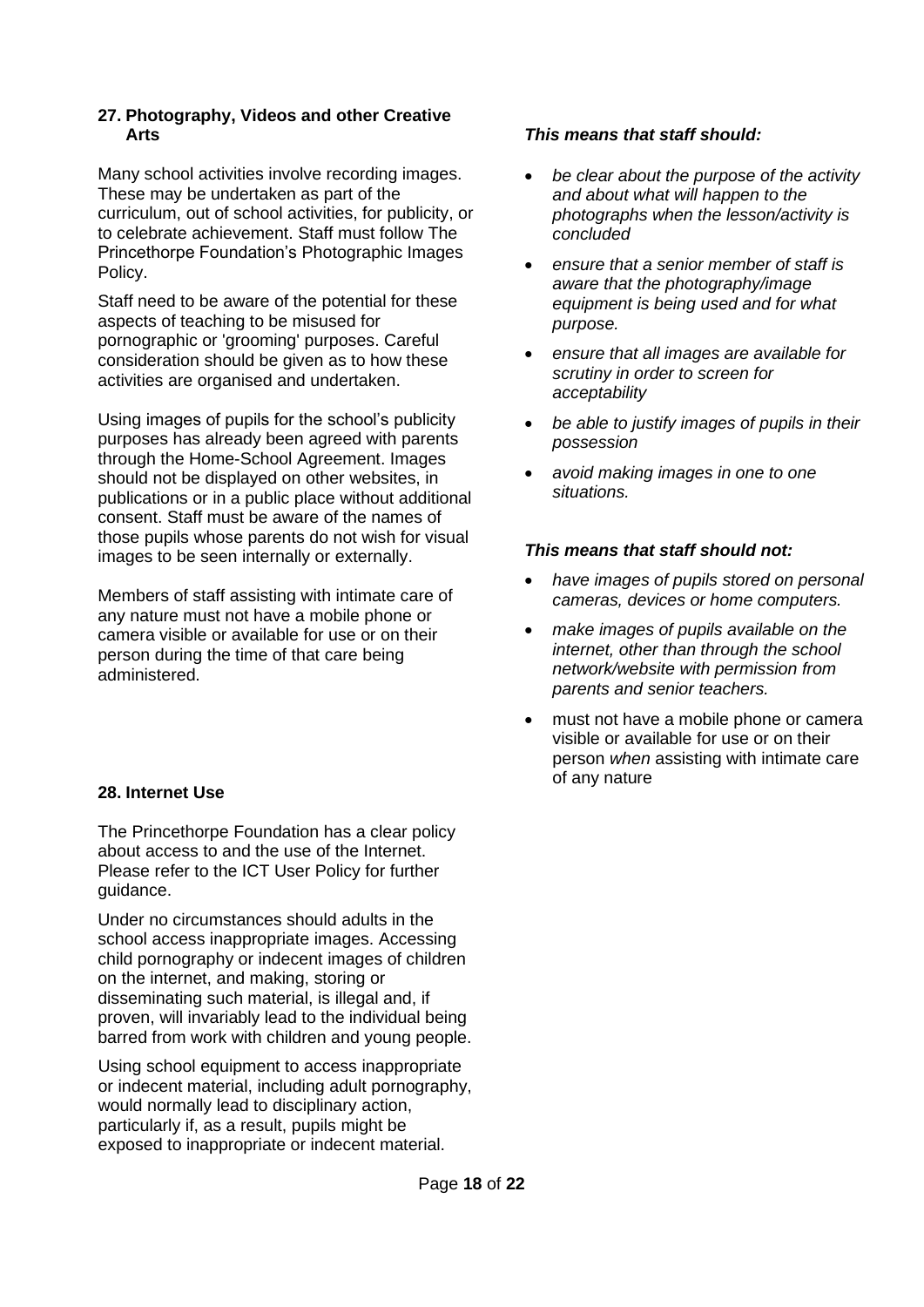#### <span id="page-17-0"></span>**27. Photography, Videos and other Creative Arts**

Many school activities involve recording images. These may be undertaken as part of the curriculum, out of school activities, for publicity, or to celebrate achievement. Staff must follow The Princethorpe Foundation's Photographic Images Policy.

Staff need to be aware of the potential for these aspects of teaching to be misused for pornographic or 'grooming' purposes. Careful consideration should be given as to how these activities are organised and undertaken.

Using images of pupils for the school's publicity purposes has already been agreed with parents through the Home-School Agreement. Images should not be displayed on other websites, in publications or in a public place without additional consent. Staff must be aware of the names of those pupils whose parents do not wish for visual images to be seen internally or externally.

Members of staff assisting with intimate care of any nature must not have a mobile phone or camera visible or available for use or on their person during the time of that care being administered.

## <span id="page-17-1"></span>**28. Internet Use**

The Princethorpe Foundation has a clear policy about access to and the use of the Internet. Please refer to the ICT User Policy for further guidance.

Under no circumstances should adults in the school access inappropriate images. Accessing child pornography or indecent images of children on the internet, and making, storing or disseminating such material, is illegal and, if proven, will invariably lead to the individual being barred from work with children and young people.

Using school equipment to access inappropriate or indecent material, including adult pornography, would normally lead to disciplinary action, particularly if, as a result, pupils might be exposed to inappropriate or indecent material.

## *This means that staff should:*

- *be clear about the purpose of the activity and about what will happen to the photographs when the lesson/activity is concluded*
- *ensure that a senior member of staff is aware that the photography/image equipment is being used and for what purpose.*
- *ensure that all images are available for scrutiny in order to screen for acceptability*
- *be able to justify images of pupils in their possession*
- *avoid making images in one to one situations.*

- *have images of pupils stored on personal cameras, devices or home computers.*
- *make images of pupils available on the internet, other than through the school network/website with permission from parents and senior teachers.*
- must not have a mobile phone or camera visible or available for use or on their person *when* assisting with intimate care of any nature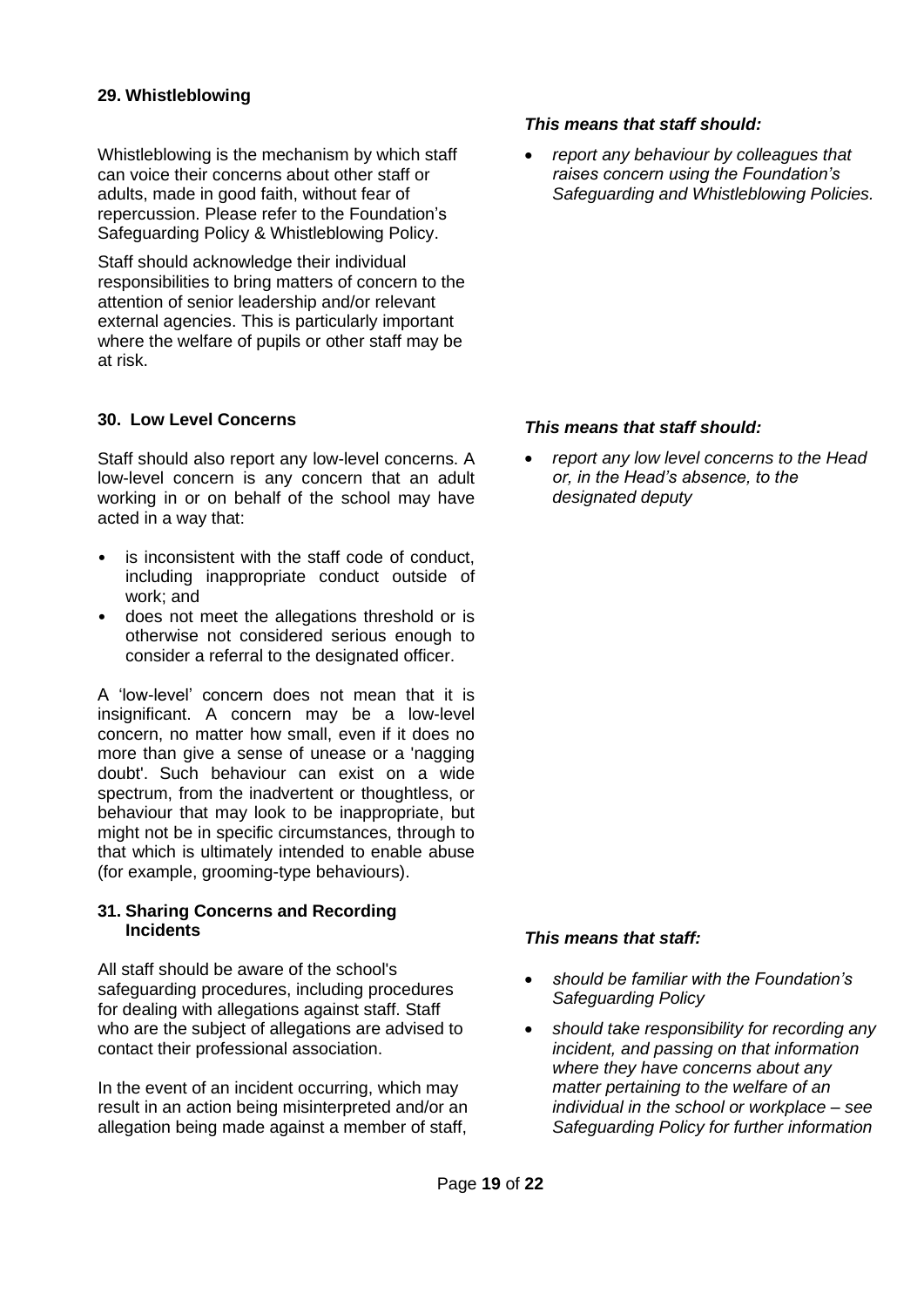#### <span id="page-18-0"></span>**29. Whistleblowing**

Whistleblowing is the mechanism by which staff can voice their concerns about other staff or adults, made in good faith, without fear of repercussion. Please refer to the Foundation's Safeguarding Policy & Whistleblowing Policy.

Staff should acknowledge their individual responsibilities to bring matters of concern to the attention of senior leadership and/or relevant external agencies. This is particularly important where the welfare of pupils or other staff may be at risk.

#### <span id="page-18-1"></span>**30. Low Level Concerns**

Staff should also report any low-level concerns. A low-level concern is any concern that an adult working in or on behalf of the school may have acted in a way that:

- is inconsistent with the staff code of conduct, including inappropriate conduct outside of work; and
- does not meet the allegations threshold or is otherwise not considered serious enough to consider a referral to the designated officer.

A 'low-level' concern does not mean that it is insignificant. A concern may be a low-level concern, no matter how small, even if it does no more than give a sense of unease or a 'nagging doubt'. Such behaviour can exist on a wide spectrum, from the inadvertent or thoughtless, or behaviour that may look to be inappropriate, but might not be in specific circumstances, through to that which is ultimately intended to enable abuse (for example, grooming-type behaviours).

#### <span id="page-18-2"></span>**31. Sharing Concerns and Recording Incidents**

All staff should be aware of the school's safeguarding procedures, including procedures for dealing with allegations against staff. Staff who are the subject of allegations are advised to contact their professional association.

In the event of an incident occurring, which may result in an action being misinterpreted and/or an allegation being made against a member of staff,

#### *This means that staff should:*

• *report any behaviour by colleagues that raises concern using the Foundation's Safeguarding and Whistleblowing Policies.* 

#### *This means that staff should:*

• *report any low level concerns to the Head or, in the Head's absence, to the designated deputy* 

#### *This means that staff:*

- *should be familiar with the Foundation's Safeguarding Policy*
- *should take responsibility for recording any incident, and passing on that information where they have concerns about any matter pertaining to the welfare of an individual in the school or workplace – see Safeguarding Policy for further information*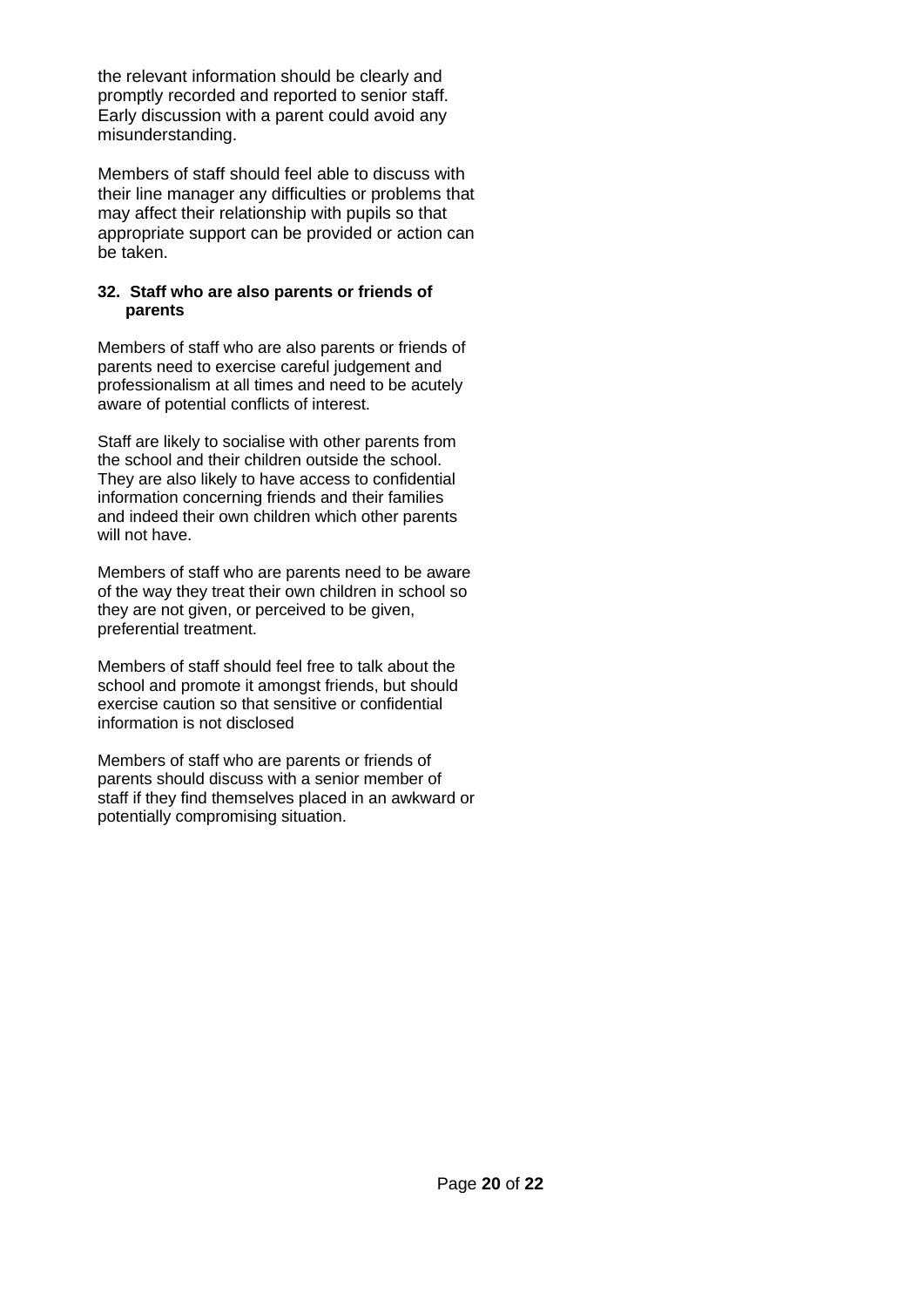the relevant information should be clearly and promptly recorded and reported to senior staff. Early discussion with a parent could avoid any misunderstanding.

Members of staff should feel able to discuss with their line manager any difficulties or problems that may affect their relationship with pupils so that appropriate support can be provided or action can be taken.

#### <span id="page-19-0"></span>**32. Staff who are also parents or friends of parents**

Members of staff who are also parents or friends of parents need to exercise careful judgement and professionalism at all times and need to be acutely aware of potential conflicts of interest.

Staff are likely to socialise with other parents from the school and their children outside the school. They are also likely to have access to confidential information concerning friends and their families and indeed their own children which other parents will not have.

Members of staff who are parents need to be aware of the way they treat their own children in school so they are not given, or perceived to be given, preferential treatment.

Members of staff should feel free to talk about the school and promote it amongst friends, but should exercise caution so that sensitive or confidential information is not disclosed

Members of staff who are parents or friends of parents should discuss with a senior member of staff if they find themselves placed in an awkward or potentially compromising situation.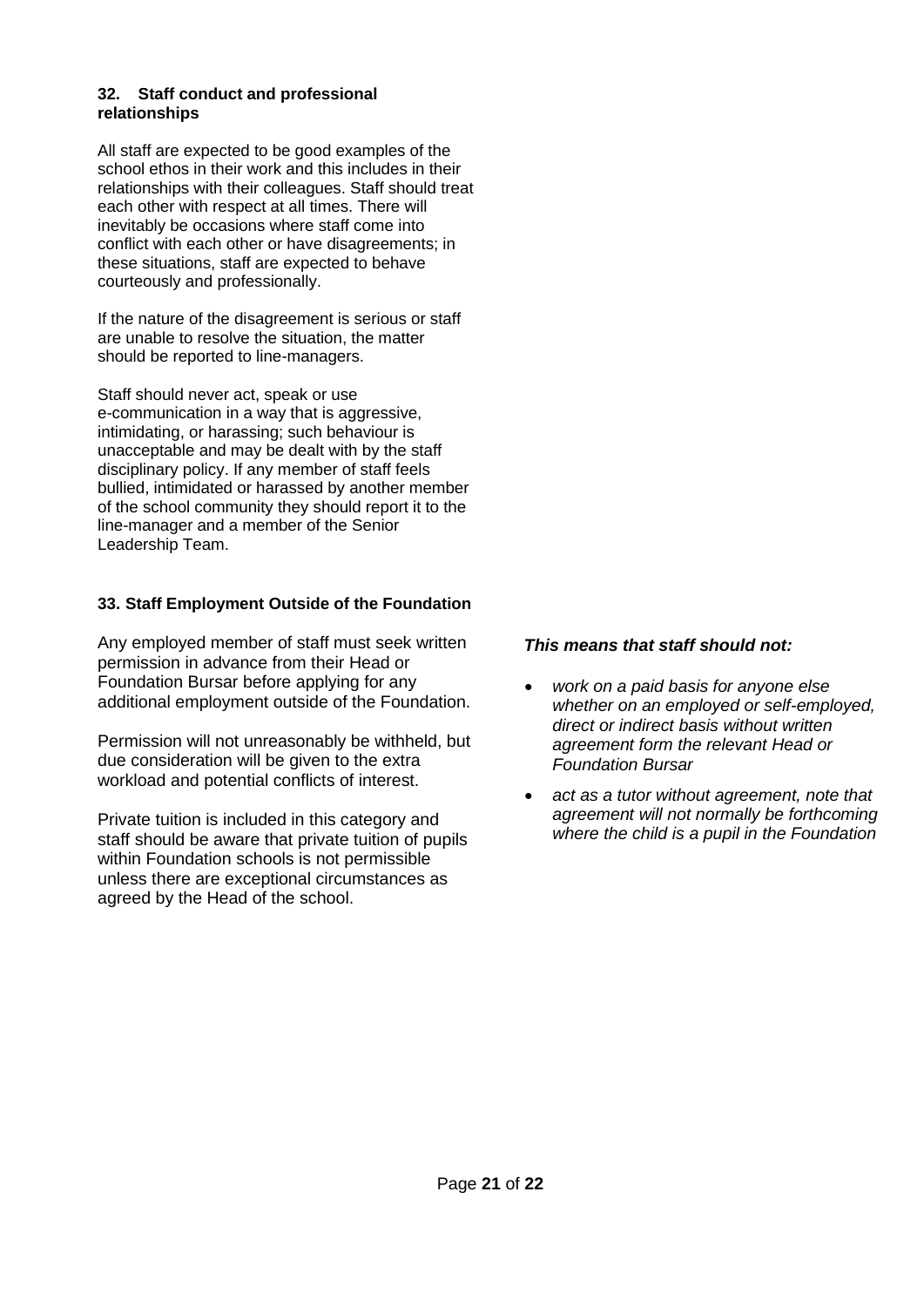#### <span id="page-20-0"></span>**32. Staff conduct and professional relationships**

All staff are expected to be good examples of the school ethos in their work and this includes in their relationships with their colleagues. Staff should treat each other with respect at all times. There will inevitably be occasions where staff come into conflict with each other or have disagreements; in these situations, staff are expected to behave courteously and professionally.

If the nature of the disagreement is serious or staff are unable to resolve the situation, the matter should be reported to line-managers.

Staff should never act, speak or use e-communication in a way that is aggressive, intimidating, or harassing; such behaviour is unacceptable and may be dealt with by the staff disciplinary policy. If any member of staff feels bullied, intimidated or harassed by another member of the school community they should report it to the line-manager and a member of the Senior Leadership Team.

# <span id="page-20-1"></span>**33. Staff Employment Outside of the Foundation**

Any employed member of staff must seek written permission in advance from their Head or Foundation Bursar before applying for any additional employment outside of the Foundation.

Permission will not unreasonably be withheld, but due consideration will be given to the extra workload and potential conflicts of interest.

Private tuition is included in this category and staff should be aware that private tuition of pupils within Foundation schools is not permissible unless there are exceptional circumstances as agreed by the Head of the school.

- *work on a paid basis for anyone else whether on an employed or self-employed, direct or indirect basis without written agreement form the relevant Head or Foundation Bursar*
- *act as a tutor without agreement, note that agreement will not normally be forthcoming where the child is a pupil in the Foundation*